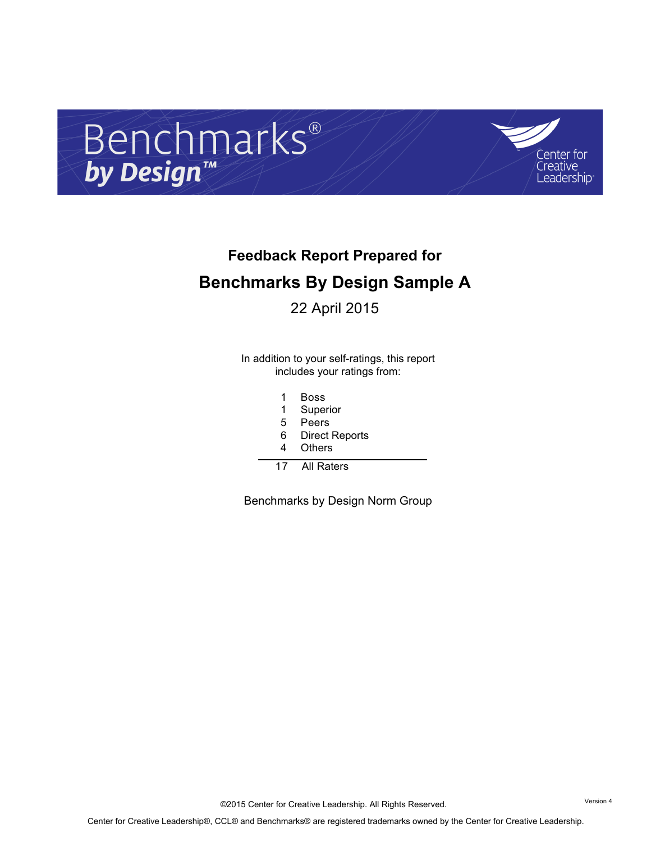



# **Feedback Report Prepared for Benchmarks By Design Sample A**

22 April 2015

In addition to your self-ratings, this report includes your ratings from:

- 1 Boss
- 1 Superior
- 5 Peers
- 6 Direct Reports
- 4 Others
- 17 All Raters

Benchmarks by Design Norm Group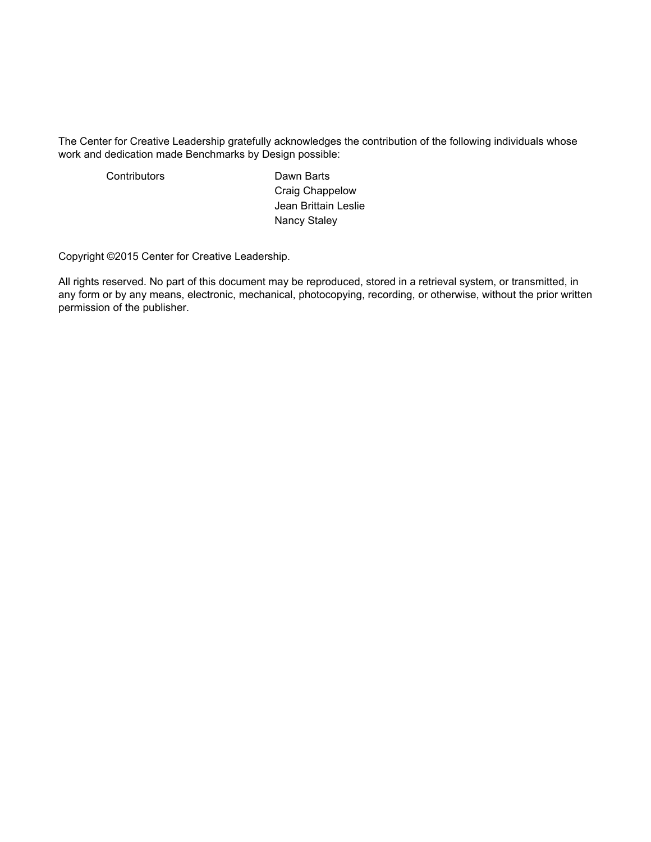The Center for Creative Leadership gratefully acknowledges the contribution of the following individuals whose work and dedication made Benchmarks by Design possible:

Contributors **Dawn** Barts Craig Chappelow Jean Brittain Leslie Nancy Staley

Copyright ©2015 Center for Creative Leadership.

All rights reserved. No part of this document may be reproduced, stored in a retrieval system, or transmitted, in any form or by any means, electronic, mechanical, photocopying, recording, or otherwise, without the prior written permission of the publisher.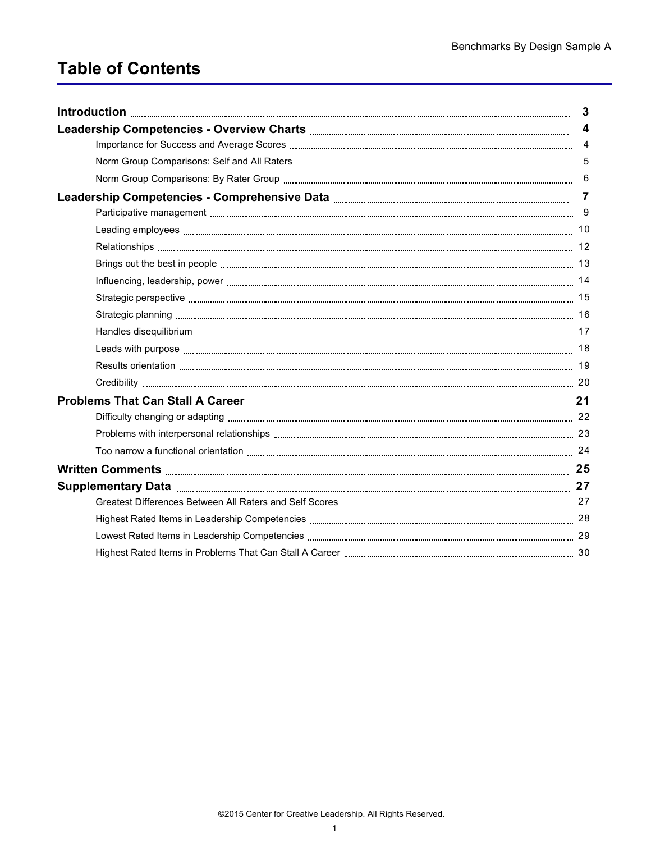# **Table of Contents**

| Introduction <b>Execution Execution Executive Execution Executive Executive Executive Executive Executive Executive Executive Executive Executive Executive Executive Executive Executive Executive Executive Executive Ex</b> | $\mathbf{3}$            |
|--------------------------------------------------------------------------------------------------------------------------------------------------------------------------------------------------------------------------------|-------------------------|
|                                                                                                                                                                                                                                | $\overline{\mathbf{4}}$ |
|                                                                                                                                                                                                                                | $\overline{4}$          |
|                                                                                                                                                                                                                                |                         |
|                                                                                                                                                                                                                                | 6                       |
|                                                                                                                                                                                                                                | $\overline{7}$          |
|                                                                                                                                                                                                                                |                         |
|                                                                                                                                                                                                                                |                         |
|                                                                                                                                                                                                                                |                         |
|                                                                                                                                                                                                                                |                         |
|                                                                                                                                                                                                                                |                         |
|                                                                                                                                                                                                                                |                         |
|                                                                                                                                                                                                                                |                         |
|                                                                                                                                                                                                                                |                         |
|                                                                                                                                                                                                                                |                         |
|                                                                                                                                                                                                                                |                         |
|                                                                                                                                                                                                                                |                         |
|                                                                                                                                                                                                                                |                         |
|                                                                                                                                                                                                                                |                         |
|                                                                                                                                                                                                                                |                         |
|                                                                                                                                                                                                                                |                         |
|                                                                                                                                                                                                                                |                         |
|                                                                                                                                                                                                                                |                         |
|                                                                                                                                                                                                                                |                         |
|                                                                                                                                                                                                                                |                         |
|                                                                                                                                                                                                                                |                         |
|                                                                                                                                                                                                                                |                         |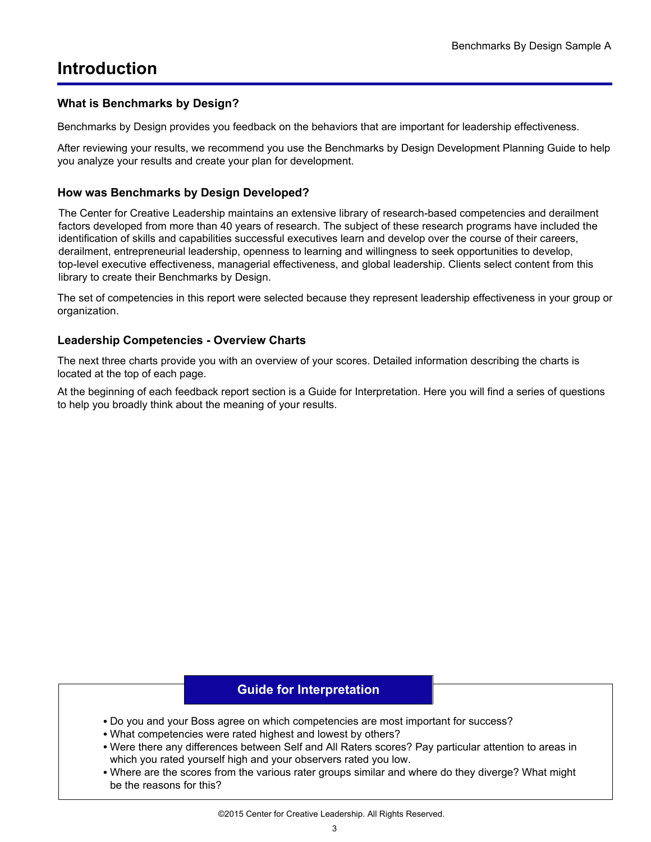## <span id="page-4-0"></span>**Introduction**

#### **What is Benchmarks by Design?**

Benchmarks by Design provides you feedback on the behaviors that are important for leadership effectiveness.

After reviewing your results, we recommend you use the Benchmarks by Design Development Planning Guide to help you analyze your results and create your plan for development.

#### **How was Benchmarks by Design Developed?**

The Center for Creative Leadership maintains an extensive library of research-based competencies and derailment factors developed from more than 40 years of research. The subject of these research programs have included the identification of skills and capabilities successful executives learn and develop over the course of their careers, derailment, entrepreneurial leadership, openness to learning and willingness to seek opportunities to develop, top-level executive effectiveness, managerial effectiveness, and global leadership. Clients select content from this library to create their Benchmarks by Design.

The set of competencies in this report were selected because they represent leadership effectiveness in your group or organization.

#### **Leadership Competencies - Overview Charts**

The next three charts provide you with an overview of your scores. Detailed information describing the charts is located at the top of each page.

At the beginning of each feedback report section is a Guide for Interpretation. Here you will find a series of questions to help you broadly think about the meaning of your results.

#### **Guide for Interpretation**

- Do you and your Boss agree on which competencies are most important for success?
- What competencies were rated highest and lowest by others?
- Were there any differences between Self and All Raters scores? Pay particular attention to areas in which you rated yourself high and your observers rated you low.
- Where are the scores from the various rater groups similar and where do they diverge? What might be the reasons for this?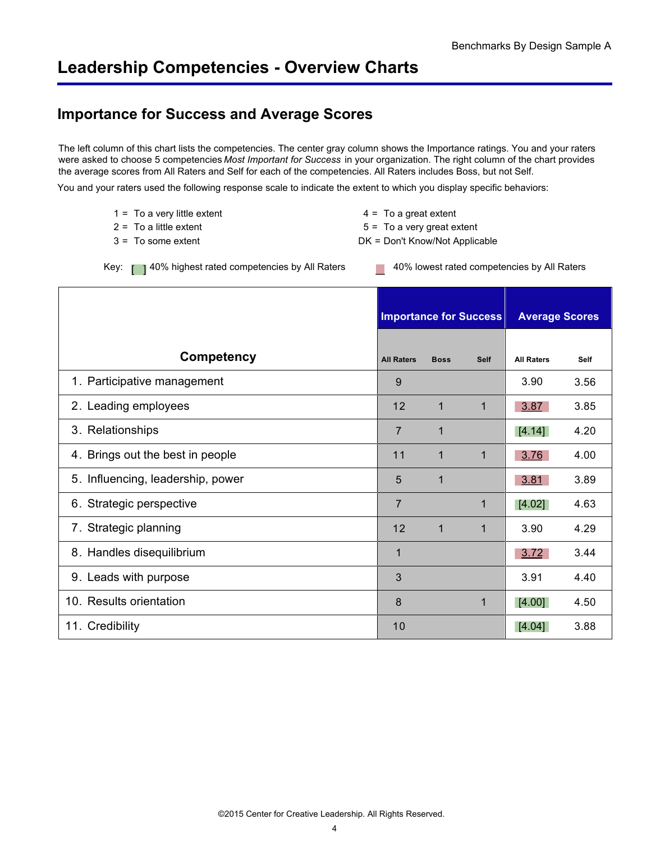## <span id="page-5-0"></span>**Leadership Competencies - Overview Charts**

## **Importance for Success and Average Scores**

The left column of this chart lists the competencies. The center gray column shows the Importance ratings. You and your raters were asked to choose 5 competencies *Most Important for Success* in your organization. The right column of the chart provides the average scores from All Raters and Self for each of the competencies. All Raters includes Boss, but not Self.

You and your raters used the following response scale to indicate the extent to which you display specific behaviors:

| $1 =$ To a very little extent | $4 = To a great extent$        |
|-------------------------------|--------------------------------|
| 2 = To a little extent_       | $5 =$ To a very great extent   |
| 3 = To some extent            | DK = Don't Know/Not Applicable |
|                               |                                |

Key: [ ] 40% highest rated competencies by All Raters 40% lowest rated competencies by All Raters

|                                   | <b>Importance for Success</b> |             |              | <b>Average Scores</b> |             |
|-----------------------------------|-------------------------------|-------------|--------------|-----------------------|-------------|
| Competency                        | <b>All Raters</b>             | <b>Boss</b> | <b>Self</b>  | <b>All Raters</b>     | <b>Self</b> |
| 1. Participative management       | 9                             |             |              | 3.90                  | 3.56        |
| 2. Leading employees              | 12                            | $\mathbf 1$ | $\mathbf{1}$ | 3.87                  | 3.85        |
| 3. Relationships                  | $\overline{7}$                | $\mathbf 1$ |              | [4.14]                | 4.20        |
| 4. Brings out the best in people  | 11                            | 1           | 1            | 3.76                  | 4.00        |
| 5. Influencing, leadership, power | 5                             | $\mathbf 1$ |              | 3.81                  | 3.89        |
| 6. Strategic perspective          | $\overline{7}$                |             | 1            | [4.02]                | 4.63        |
| 7. Strategic planning             | 12                            | $\mathbf 1$ | 1            | 3.90                  | 4.29        |
| 8. Handles disequilibrium         | 1                             |             |              | 3.72                  | 3.44        |
| 9. Leads with purpose             | 3                             |             |              | 3.91                  | 4.40        |
| 10. Results orientation           | 8                             |             | 1            | $[4.00]$              | 4.50        |
| 11. Credibility                   | 10                            |             |              | [4.04]                | 3.88        |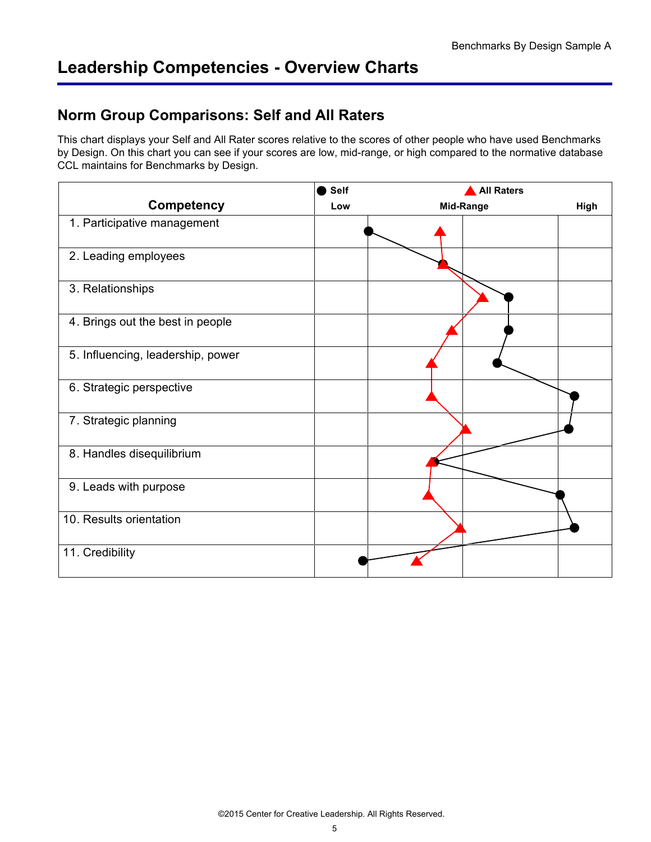## <span id="page-6-0"></span>**Leadership Competencies - Overview Charts**

### **Norm Group Comparisons: Self and All Raters**

This chart displays your Self and All Rater scores relative to the scores of other people who have used Benchmarks by Design. On this chart you can see if your scores are low, mid-range, or high compared to the normative database CCL maintains for Benchmarks by Design.

|                                   | Self | <b>All Raters</b> |      |  |
|-----------------------------------|------|-------------------|------|--|
| Competency                        | Low  | Mid-Range         | High |  |
| 1. Participative management       |      |                   |      |  |
| 2. Leading employees              |      |                   |      |  |
| 3. Relationships                  |      |                   |      |  |
| 4. Brings out the best in people  |      |                   |      |  |
| 5. Influencing, leadership, power |      |                   |      |  |
| 6. Strategic perspective          |      |                   |      |  |
| 7. Strategic planning             |      |                   |      |  |
| 8. Handles disequilibrium         |      |                   |      |  |
| 9. Leads with purpose             |      |                   |      |  |
| 10. Results orientation           |      |                   |      |  |
| 11. Credibility                   |      |                   |      |  |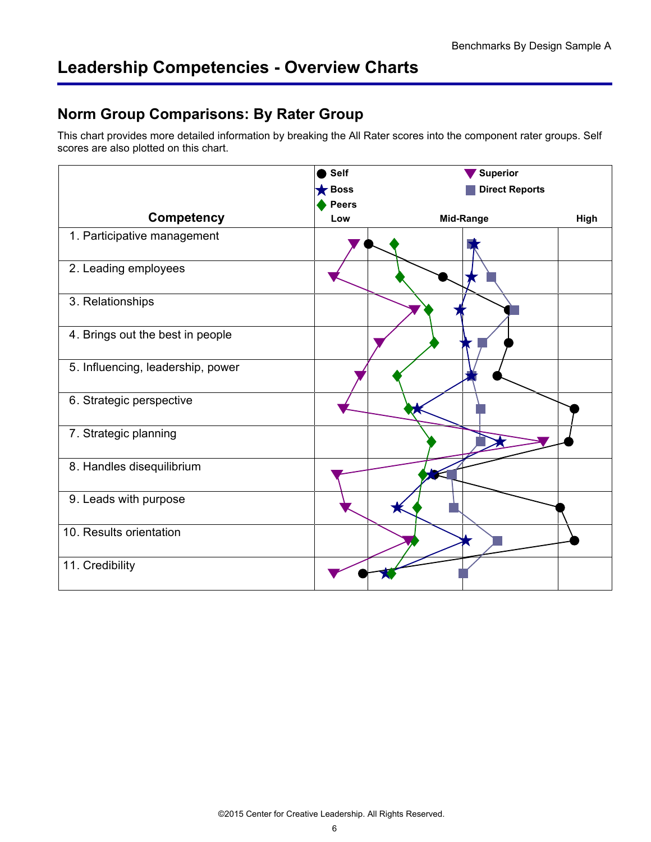## <span id="page-7-0"></span>**Leadership Competencies - Overview Charts**

### **Norm Group Comparisons: By Rater Group**

This chart provides more detailed information by breaking the All Rater scores into the component rater groups. Self scores are also plotted on this chart.

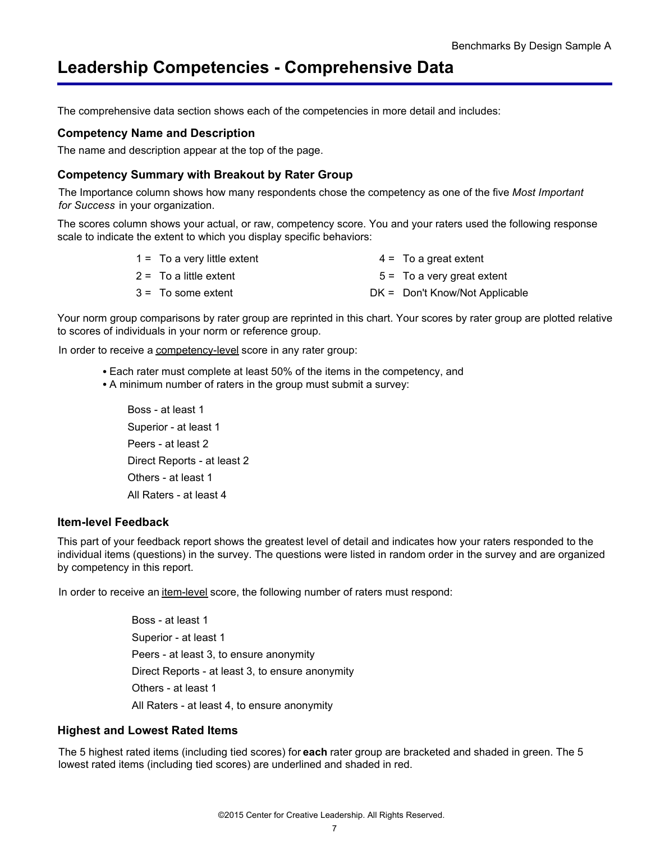<span id="page-8-0"></span>The comprehensive data section shows each of the competencies in more detail and includes:

#### **Competency Name and Description**

The name and description appear at the top of the page.

#### **Competency Summary with Breakout by Rater Group**

The Importance column shows how many respondents chose the competency as one of the five *Most Important for Success* in your organization.

The scores column shows your actual, or raw, competency score. You and your raters used the following response scale to indicate the extent to which you display specific behaviors:

| $1 =$ To a very little extent | $4 =$ To a great extent          |
|-------------------------------|----------------------------------|
| $2 = To a little extent$      | $5 = 7$ o a very great extent    |
| $3 = 7$ To some extent        | $DK =$ Don't Know/Not Applicable |

Your norm group comparisons by rater group are reprinted in this chart. Your scores by rater group are plotted relative to scores of individuals in your norm or reference group.

In order to receive a competency-level score in any rater group:

- Each rater must complete at least 50% of the items in the competency, and
- A minimum number of raters in the group must submit a survey:

Boss - at least 1 Superior - at least 1 Peers - at least 2 Direct Reports - at least 2 Others - at least 1 All Raters - at least 4

#### **Item-level Feedback**

This part of your feedback report shows the greatest level of detail and indicates how your raters responded to the individual items (questions) in the survey. The questions were listed in random order in the survey and are organized by competency in this report.

In order to receive an item-level score, the following number of raters must respond:

Boss - at least 1 Superior - at least 1 Peers - at least 3, to ensure anonymity Direct Reports - at least 3, to ensure anonymity Others - at least 1 All Raters - at least 4, to ensure anonymity

#### **Highest and Lowest Rated Items**

The 5 highest rated items (including tied scores) for**each** rater group are bracketed and shaded in green. The 5 lowest rated items (including tied scores) are underlined and shaded in red.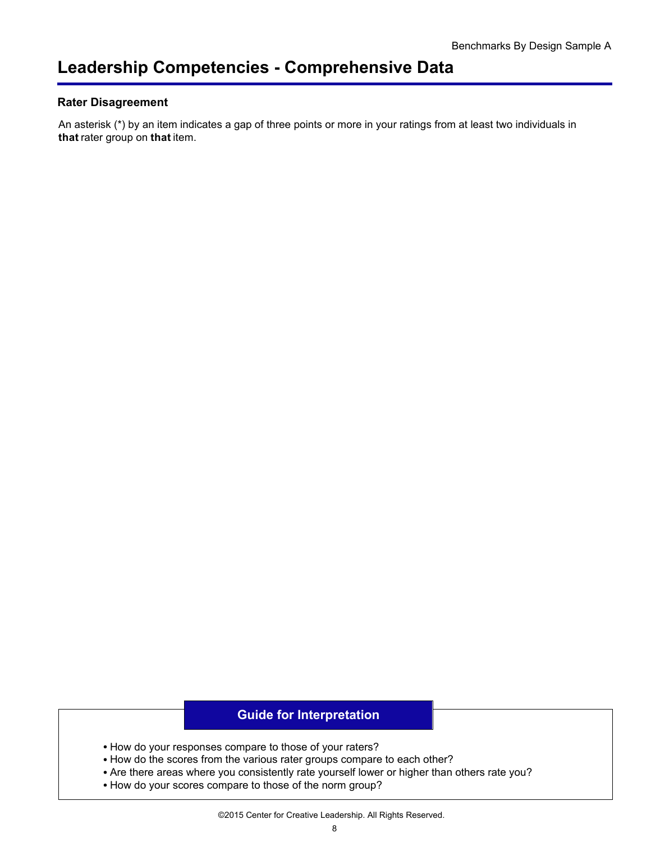#### **Rater Disagreement**

An asterisk (\*) by an item indicates a gap of three points or more in your ratings from at least two individuals in **that** rater group on **that** item.

### **Guide for Interpretation**

- How do your responses compare to those of your raters?
- How do the scores from the various rater groups compare to each other?
- Are there areas where you consistently rate yourself lower or higher than others rate you?
- How do your scores compare to those of the norm group?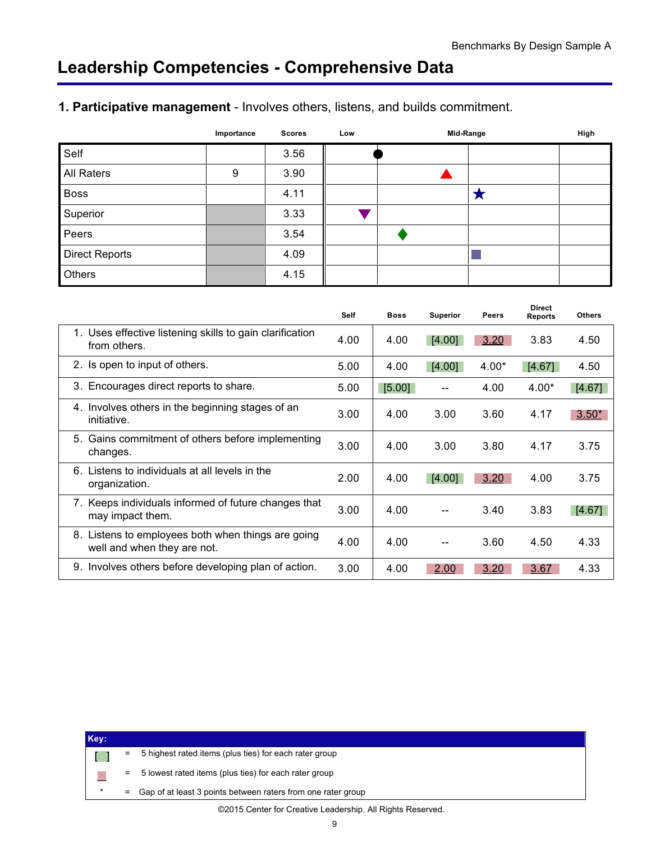### <span id="page-10-0"></span>**1. Participative management** - Involves others, listens, and builds commitment.

|                       | Importance | <b>Scores</b> | Low | Mid-Range |   | High |
|-----------------------|------------|---------------|-----|-----------|---|------|
| Self                  |            | 3.56          |     |           |   |      |
| <b>All Raters</b>     | 9          | 3.90          |     |           |   |      |
| <b>Boss</b>           |            | 4.11          |     |           | E |      |
| Superior              |            | 3.33          |     |           |   |      |
| Peers                 |            | 3.54          |     |           |   |      |
| <b>Direct Reports</b> |            | 4.09          |     |           |   |      |
| Others                |            | 4.15          |     |           |   |      |

|    |                                                                                   | <b>Self</b> | <b>Boss</b> | <b>Superior</b> | <b>Peers</b> | <b>Direct</b><br><b>Reports</b> | <b>Others</b> |
|----|-----------------------------------------------------------------------------------|-------------|-------------|-----------------|--------------|---------------------------------|---------------|
|    | 1. Uses effective listening skills to gain clarification<br>from others.          | 4.00        | 4.00        | [4.00]          | 3.20         | 3.83                            | 4.50          |
|    | 2. Is open to input of others.                                                    | 5.00        | 4.00        | [4.00]          | $4.00*$      | [4.67]                          | 4.50          |
|    | 3. Encourages direct reports to share.                                            | 5.00        | [5.00]      |                 | 4.00         | $4.00*$                         | [4.67]        |
|    | 4. Involves others in the beginning stages of an<br>initiative.                   | 3.00        | 4.00        | 3.00            | 3.60         | 4.17                            | $3.50*$       |
|    | 5. Gains commitment of others before implementing<br>changes.                     | 3.00        | 4.00        | 3.00            | 3.80         | 4.17                            | 3.75          |
| 6. | Listens to individuals at all levels in the<br>organization.                      | 2.00        | 4.00        | [4.00]          | 3.20         | 4.00                            | 3.75          |
|    | Keeps individuals informed of future changes that<br>may impact them.             | 3.00        | 4.00        |                 | 3.40         | 3.83                            | [4.67]        |
|    | 8. Listens to employees both when things are going<br>well and when they are not. | 4.00        | 4.00        |                 | 3.60         | 4.50                            | 4.33          |
|    | 9. Involves others before developing plan of action.                              | 3.00        | 4.00        | 2.00            | 3.20         | 3.67                            | 4.33          |

| Key:    |          |                                                              |
|---------|----------|--------------------------------------------------------------|
|         | =        | 5 highest rated items (plus ties) for each rater group       |
|         | $=$      | 5 lowest rated items (plus ties) for each rater group        |
| $\star$ | $\equiv$ | Gap of at least 3 points between raters from one rater group |
|         |          |                                                              |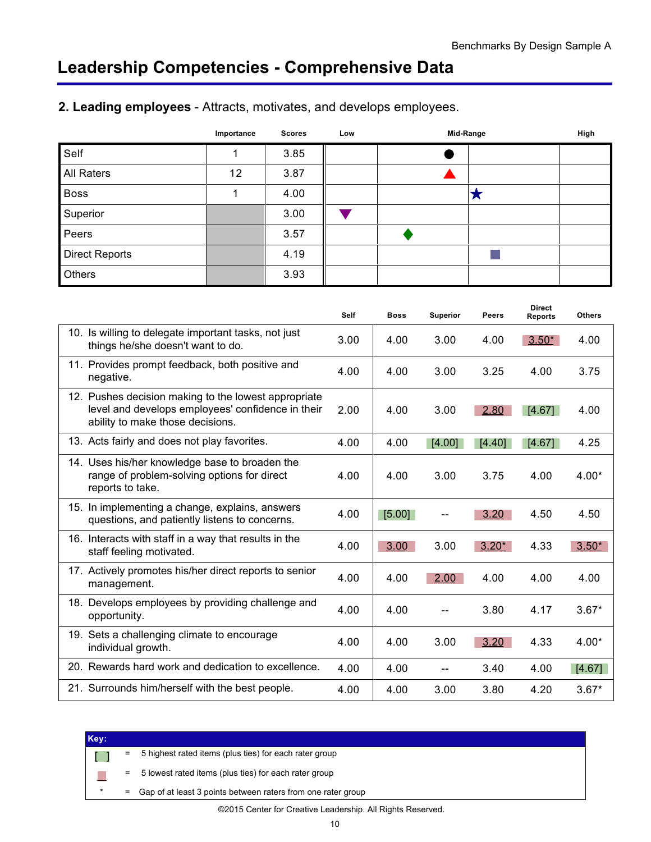|                       | Importance | <b>Scores</b> | Low | Mid-Range |   | High |
|-----------------------|------------|---------------|-----|-----------|---|------|
| Self                  |            | 3.85          |     |           |   |      |
| All Raters            | 12         | 3.87          |     |           |   |      |
| <b>Boss</b>           |            | 4.00          |     |           | ∽ |      |
| Superior              |            | 3.00          |     |           |   |      |
| Peers                 |            | 3.57          |     |           |   |      |
| <b>Direct Reports</b> |            | 4.19          |     |           |   |      |
| Others                |            | 3.93          |     |           |   |      |

### <span id="page-11-0"></span>**2. Leading employees** - Attracts, motivates, and develops employees.

|                                                                                                                                               | Self | <b>Boss</b> | <b>Superior</b> | Peers   | <b>Direct</b><br><b>Reports</b> | <b>Others</b> |
|-----------------------------------------------------------------------------------------------------------------------------------------------|------|-------------|-----------------|---------|---------------------------------|---------------|
| 10. Is willing to delegate important tasks, not just<br>things he/she doesn't want to do.                                                     | 3.00 | 4.00        | 3.00            | 4.00    | $3.50*$                         | 4.00          |
| 11. Provides prompt feedback, both positive and<br>negative.                                                                                  | 4.00 | 4.00        | 3.00            | 3.25    | 4.00                            | 3.75          |
| 12. Pushes decision making to the lowest appropriate<br>level and develops employees' confidence in their<br>ability to make those decisions. | 2.00 | 4.00        | 3.00            | 2.80    | [4.67]                          | 4.00          |
| 13. Acts fairly and does not play favorites.                                                                                                  | 4.00 | 4.00        | [4.00]          | [4.40]  | [4.67]                          | 4.25          |
| 14. Uses his/her knowledge base to broaden the<br>range of problem-solving options for direct<br>reports to take.                             | 4.00 | 4.00        | 3.00            | 3.75    | 4.00                            | $4.00*$       |
| 15. In implementing a change, explains, answers<br>questions, and patiently listens to concerns.                                              | 4.00 | [5.00]      |                 | 3.20    | 4.50                            | 4.50          |
| 16. Interacts with staff in a way that results in the<br>staff feeling motivated.                                                             | 4.00 | 3.00        | 3.00            | $3.20*$ | 4.33                            | $3.50*$       |
| 17. Actively promotes his/her direct reports to senior<br>management.                                                                         | 4.00 | 4.00        | 2.00            | 4.00    | 4.00                            | 4.00          |
| 18. Develops employees by providing challenge and<br>opportunity.                                                                             | 4.00 | 4.00        |                 | 3.80    | 4.17                            | $3.67*$       |
| 19. Sets a challenging climate to encourage<br>individual growth.                                                                             | 4.00 | 4.00        | 3.00            | 3.20    | 4.33                            | $4.00*$       |
| 20. Rewards hard work and dedication to excellence.                                                                                           | 4.00 | 4.00        |                 | 3.40    | 4.00                            | [4.67]        |
| 21. Surrounds him/herself with the best people.                                                                                               | 4.00 | 4.00        | 3.00            | 3.80    | 4.20                            | $3.67*$       |

| Key: |     |                                                                |
|------|-----|----------------------------------------------------------------|
|      | Ξ.  | 5 highest rated items (plus ties) for each rater group         |
|      | $=$ | 5 lowest rated items (plus ties) for each rater group          |
|      |     | = Gap of at least 3 points between raters from one rater group |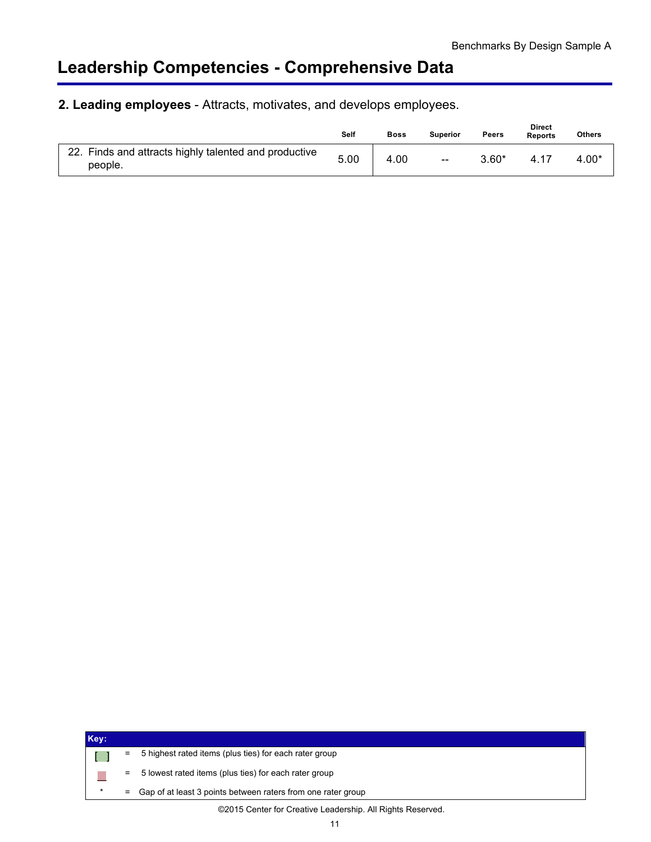### **2. Leading employees** - Attracts, motivates, and develops employees.

|                                                                  | Self | <b>Boss</b> | <b>Superior</b>                                | <b>Peers</b> | <b>Direct</b><br><b>Reports</b> | <b>Others</b> |
|------------------------------------------------------------------|------|-------------|------------------------------------------------|--------------|---------------------------------|---------------|
| 22. Finds and attracts highly talented and productive<br>people. | 5.00 | 4.00        | $\hspace{0.1mm}-\hspace{0.1mm}-\hspace{0.1mm}$ | $3.60*$      | 4.17                            | 4.00*         |

| Key:    |          |                                                              |
|---------|----------|--------------------------------------------------------------|
|         | =        | 5 highest rated items (plus ties) for each rater group       |
|         | Ξ        | 5 lowest rated items (plus ties) for each rater group        |
| $\star$ | $\equiv$ | Gap of at least 3 points between raters from one rater group |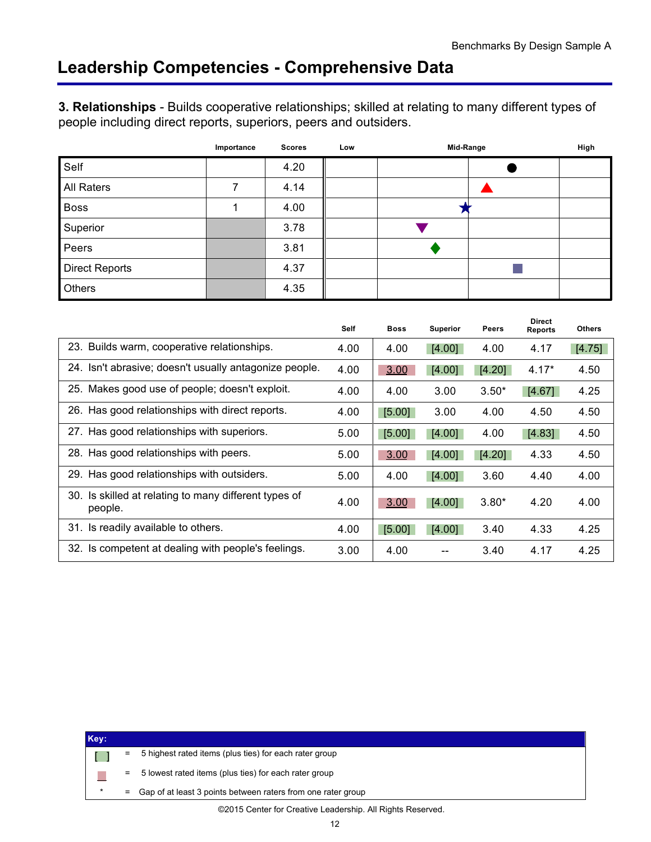<span id="page-13-0"></span>**3. Relationships** - Builds cooperative relationships; skilled at relating to many different types of people including direct reports, superiors, peers and outsiders.

|                       | Importance | <b>Scores</b> | Low | Mid-Range | High |  |
|-----------------------|------------|---------------|-----|-----------|------|--|
| Self                  |            | 4.20          |     |           |      |  |
| All Raters            | 7          | 4.14          |     |           |      |  |
| <b>Boss</b>           |            | 4.00          |     |           |      |  |
| Superior              |            | 3.78          |     |           |      |  |
| Peers                 |            | 3.81          |     |           |      |  |
| <b>Direct Reports</b> |            | 4.37          |     |           |      |  |
| Others                |            | 4.35          |     |           |      |  |

|                                                                  | <b>Self</b> | <b>Boss</b> | <b>Superior</b> | <b>Peers</b> | <b>Direct</b><br><b>Reports</b> | <b>Others</b> |
|------------------------------------------------------------------|-------------|-------------|-----------------|--------------|---------------------------------|---------------|
| 23. Builds warm, cooperative relationships.                      | 4.00        | 4.00        | [4.00]          | 4.00         | 4.17                            | [4.75]        |
| 24. Isn't abrasive; doesn't usually antagonize people.           | 4.00        | 3.00        | [4.00]          | [4.20]       | $4.17*$                         | 4.50          |
| 25. Makes good use of people; doesn't exploit.                   | 4.00        | 4.00        | 3.00            | $3.50*$      | [4.67]                          | 4.25          |
| 26. Has good relationships with direct reports.                  | 4.00        | [5.00]      | 3.00            | 4.00         | 4.50                            | 4.50          |
| 27. Has good relationships with superiors.                       | 5.00        | [5.00]      | [4.00]          | 4.00         | [4.83]                          | 4.50          |
| 28. Has good relationships with peers.                           | 5.00        | 3.00        | [4.00]          | [4.20]       | 4.33                            | 4.50          |
| 29. Has good relationships with outsiders.                       | 5.00        | 4.00        | [4.00]          | 3.60         | 4.40                            | 4.00          |
| 30. Is skilled at relating to many different types of<br>people. | 4.00        | 3.00        | [4.00]          | $3.80*$      | 4.20                            | 4.00          |
| 31. Is readily available to others.                              | 4.00        | [5.00]      | [4.00]          | 3.40         | 4.33                            | 4.25          |
| 32. Is competent at dealing with people's feelings.              | 3.00        | 4.00        |                 | 3.40         | 4.17                            | 4.25          |

| Key: |         |          |                                                              |
|------|---------|----------|--------------------------------------------------------------|
|      |         | Ξ        | 5 highest rated items (plus ties) for each rater group       |
|      |         | $\equiv$ | 5 lowest rated items (plus ties) for each rater group        |
|      | $\star$ | $\equiv$ | Gap of at least 3 points between raters from one rater group |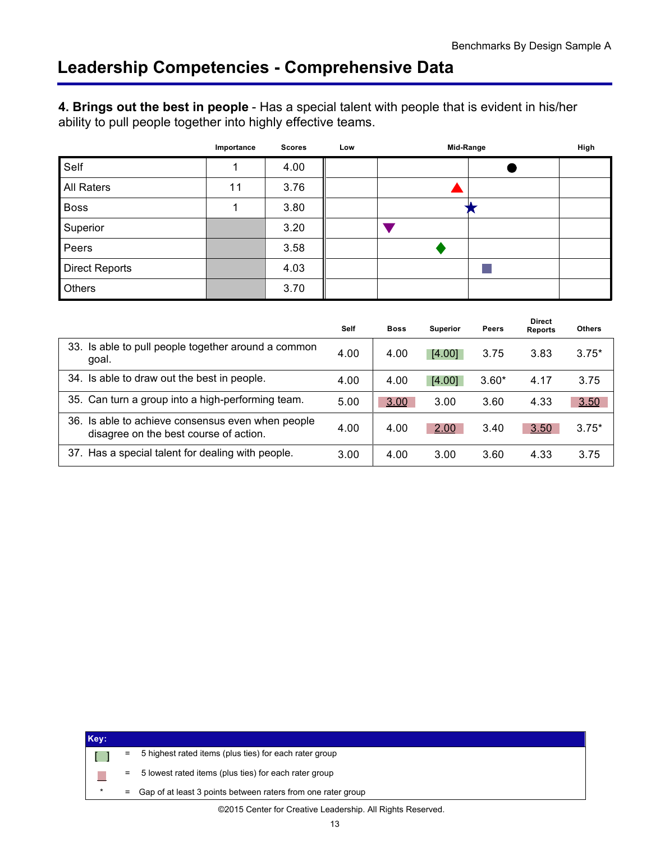<span id="page-14-0"></span>**4. Brings out the best in people** - Has a special talent with people that is evident in his/her ability to pull people together into highly effective teams.

|                       | Importance | <b>Scores</b> | Low | Mid-Range | High |
|-----------------------|------------|---------------|-----|-----------|------|
| Self                  |            | 4.00          |     |           |      |
| All Raters            | 11         | 3.76          |     |           |      |
| <b>Boss</b>           |            | 3.80          |     |           |      |
| Superior              |            | 3.20          |     |           |      |
| Peers                 |            | 3.58          |     |           |      |
| <b>Direct Reports</b> |            | 4.03          |     |           |      |
| Others                |            | 3.70          |     |           |      |

|                                                                                             | Self | <b>Boss</b> | <b>Superior</b> | <b>Peers</b> | <b>Direct</b><br><b>Reports</b> | <b>Others</b> |
|---------------------------------------------------------------------------------------------|------|-------------|-----------------|--------------|---------------------------------|---------------|
| 33. Is able to pull people together around a common<br>goal.                                | 4.00 | 4.00        | [4.00]          | 3.75         | 3.83                            | $3.75*$       |
| 34. Is able to draw out the best in people.                                                 | 4.00 | 4.00        | [4.00]          | $3.60*$      | 4.17                            | 3.75          |
| 35. Can turn a group into a high-performing team.                                           | 5.00 | 3.00        | 3.00            | 3.60         | 4.33                            | 3.50          |
| 36. Is able to achieve consensus even when people<br>disagree on the best course of action. | 4.00 | 4.00        | 2.00            | 3.40         | 3.50                            | $3.75*$       |
| 37. Has a special talent for dealing with people.                                           | 3.00 | 4.00        | 3.00            | 3.60         | 4.33                            | 3.75          |

| Key: |     |                                                              |
|------|-----|--------------------------------------------------------------|
|      | Ξ   | 5 highest rated items (plus ties) for each rater group       |
|      | =   | 5 lowest rated items (plus ties) for each rater group        |
|      | $=$ | Gap of at least 3 points between raters from one rater group |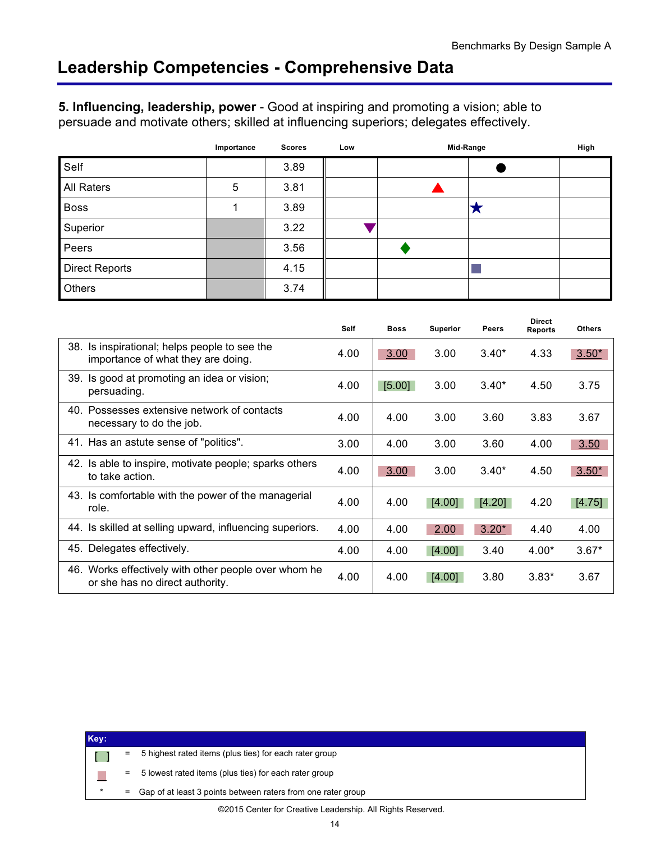<span id="page-15-0"></span>**5. Influencing, leadership, power** - Good at inspiring and promoting a vision; able to persuade and motivate others; skilled at influencing superiors; delegates effectively.

|                       | Importance | <b>Scores</b> | Low | Mid-Range |   | High |
|-----------------------|------------|---------------|-----|-----------|---|------|
| Self                  |            | 3.89          |     |           |   |      |
| All Raters            | 5          | 3.81          |     |           |   |      |
| <b>Boss</b>           |            | 3.89          |     |           | ◚ |      |
| Superior              |            | 3.22          |     |           |   |      |
| Peers                 |            | 3.56          |     |           |   |      |
| <b>Direct Reports</b> |            | 4.15          |     |           |   |      |
| Others                |            | 3.74          |     |           |   |      |

|                                                                                         | <b>Self</b> | <b>Boss</b> | <b>Superior</b> | <b>Peers</b> | <b>Direct</b><br><b>Reports</b> | <b>Others</b> |
|-----------------------------------------------------------------------------------------|-------------|-------------|-----------------|--------------|---------------------------------|---------------|
| 38.<br>Is inspirational; helps people to see the<br>importance of what they are doing.  | 4.00        | 3.00        | 3.00            | $3.40*$      | 4.33                            | $3.50*$       |
| 39. Is good at promoting an idea or vision;<br>persuading.                              | 4.00        | [5.00]      | 3.00            | $3.40*$      | 4.50                            | 3.75          |
| 40. Possesses extensive network of contacts<br>necessary to do the job.                 | 4.00        | 4.00        | 3.00            | 3.60         | 3.83                            | 3.67          |
| 41. Has an astute sense of "politics".                                                  | 3.00        | 4.00        | 3.00            | 3.60         | 4.00                            | 3.50          |
| 42. Is able to inspire, motivate people; sparks others<br>to take action.               | 4.00        | 3.00        | 3.00            | $3.40*$      | 4.50                            | $3.50*$       |
| 43. Is comfortable with the power of the managerial<br>role.                            | 4.00        | 4.00        | [4.00]          | [4.20]       | 4.20                            | [4.75]        |
| 44. Is skilled at selling upward, influencing superiors.                                | 4.00        | 4.00        | 2.00            | $3.20*$      | 4.40                            | 4.00          |
| 45. Delegates effectively.                                                              | 4.00        | 4.00        | [4.00]          | 3.40         | $4.00*$                         | $3.67*$       |
| 46. Works effectively with other people over whom he<br>or she has no direct authority. | 4.00        | 4.00        | [4.00]          | 3.80         | $3.83*$                         | 3.67          |

| Key: |         |     |                                                              |
|------|---------|-----|--------------------------------------------------------------|
|      |         | =   | 5 highest rated items (plus ties) for each rater group       |
|      |         | $=$ | 5 lowest rated items (plus ties) for each rater group        |
|      | $\star$ | $=$ | Gap of at least 3 points between raters from one rater group |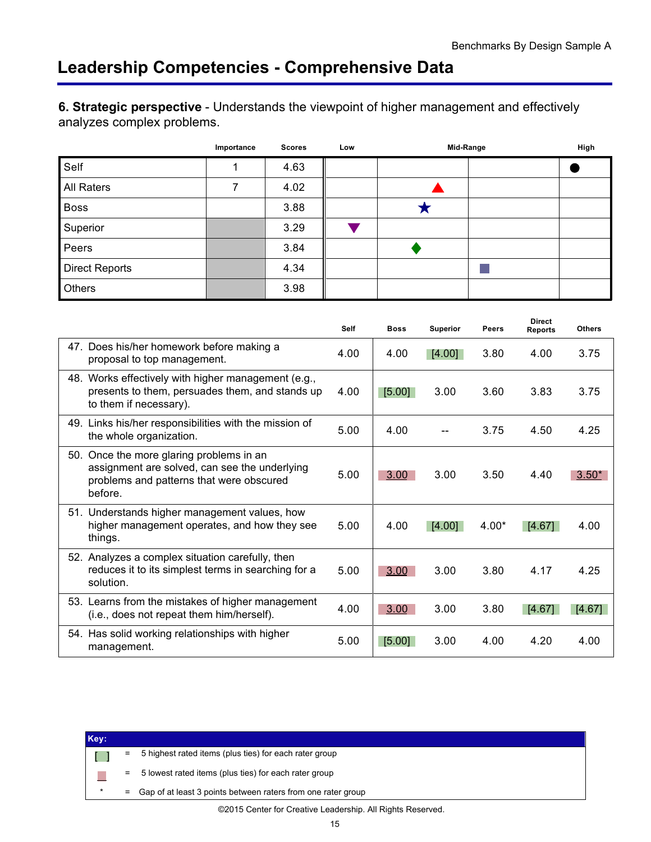<span id="page-16-0"></span>**6. Strategic perspective** - Understands the viewpoint of higher management and effectively analyzes complex problems.

|                       | Importance | <b>Scores</b> | Low | Mid-Range | High |
|-----------------------|------------|---------------|-----|-----------|------|
| Self                  |            | 4.63          |     |           |      |
| All Raters            |            | 4.02          |     |           |      |
| <b>Boss</b>           |            | 3.88          |     |           |      |
| Superior              |            | 3.29          |     |           |      |
| Peers                 |            | 3.84          |     |           |      |
| <b>Direct Reports</b> |            | 4.34          |     |           |      |
| Others                |            | 3.98          |     |           |      |

|                                                                                                                                                  | <b>Self</b> | <b>Boss</b> | <b>Superior</b> | <b>Peers</b> | <b>Direct</b><br><b>Reports</b> | <b>Others</b> |
|--------------------------------------------------------------------------------------------------------------------------------------------------|-------------|-------------|-----------------|--------------|---------------------------------|---------------|
| 47. Does his/her homework before making a<br>proposal to top management.                                                                         | 4.00        | 4.00        | [4.00]          | 3.80         | 4.00                            | 3.75          |
| 48. Works effectively with higher management (e.g.,<br>presents to them, persuades them, and stands up<br>to them if necessary).                 | 4.00        | [5.00]      | 3.00            | 3.60         | 3.83                            | 3.75          |
| 49. Links his/her responsibilities with the mission of<br>the whole organization.                                                                | 5.00        | 4.00        |                 | 3.75         | 4.50                            | 4.25          |
| 50. Once the more glaring problems in an<br>assignment are solved, can see the underlying<br>problems and patterns that were obscured<br>before. | 5.00        | 3.00        | 3.00            | 3.50         | 4.40                            | $3.50*$       |
| 51. Understands higher management values, how<br>higher management operates, and how they see<br>things.                                         | 5.00        | 4.00        | [4.00]          | $4.00*$      | [4.67]                          | 4.00          |
| 52. Analyzes a complex situation carefully, then<br>reduces it to its simplest terms in searching for a<br>solution.                             | 5.00        | 3.00        | 3.00            | 3.80         | 4.17                            | 4.25          |
| 53. Learns from the mistakes of higher management<br>(i.e., does not repeat them him/herself).                                                   | 4.00        | 3.00        | 3.00            | 3.80         | [4.67]                          | [4.67]        |
| 54. Has solid working relationships with higher<br>management.                                                                                   | 5.00        | [5.00]      | 3.00            | 4.00         | 4.20                            | 4.00          |

| Key:    |     |                                                              |
|---------|-----|--------------------------------------------------------------|
|         | Ξ   | 5 highest rated items (plus ties) for each rater group       |
|         | =   | 5 lowest rated items (plus ties) for each rater group        |
| $\star$ | $=$ | Gap of at least 3 points between raters from one rater group |
|         |     | ©2015 Center for Creative Leadership. All Rights Reserved.   |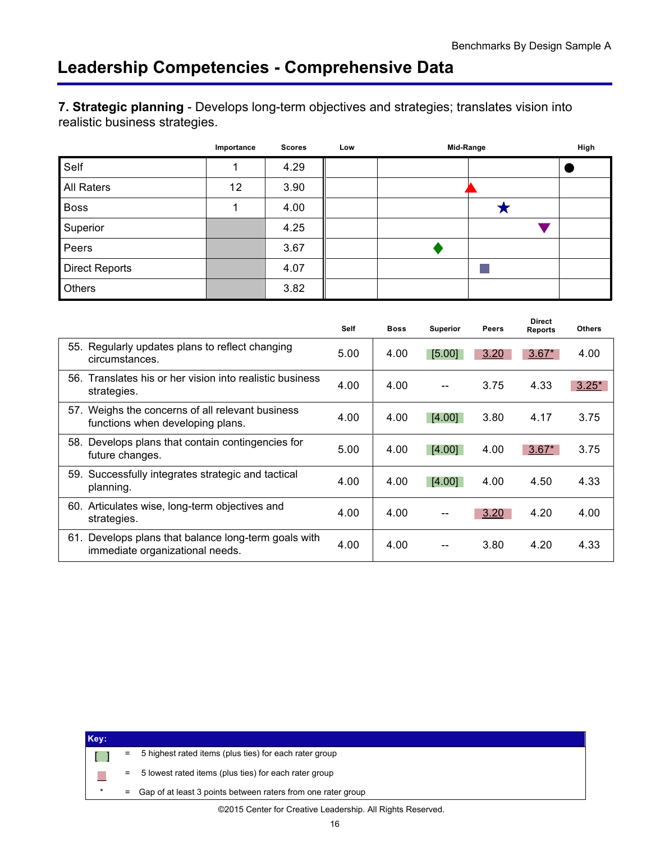<span id="page-17-0"></span>**7. Strategic planning** - Develops long-term objectives and strategies; translates vision into realistic business strategies.

|                       | Importance | <b>Scores</b> | Low | Mid-Range | High |
|-----------------------|------------|---------------|-----|-----------|------|
| Self                  |            | 4.29          |     |           |      |
| All Raters            | 12         | 3.90          |     |           |      |
| <b>Boss</b>           |            | 4.00          |     |           |      |
| Superior              |            | 4.25          |     |           |      |
| Peers                 |            | 3.67          |     |           |      |
| <b>Direct Reports</b> |            | 4.07          |     |           |      |
| Others                |            | 3.82          |     |           |      |

|                                                                                         | <b>Self</b> | <b>Boss</b> | <b>Superior</b> | <b>Peers</b> | <b>Direct</b><br><b>Reports</b> | <b>Others</b> |
|-----------------------------------------------------------------------------------------|-------------|-------------|-----------------|--------------|---------------------------------|---------------|
| 55. Regularly updates plans to reflect changing<br>circumstances.                       | 5.00        | 4.00        | [5.00]          | 3.20         | $3.67*$                         | 4.00          |
| 56. Translates his or her vision into realistic business<br>strategies.                 | 4.00        | 4.00        |                 | 3.75         | 4.33                            | $3.25*$       |
| 57. Weighs the concerns of all relevant business<br>functions when developing plans.    | 4.00        | 4.00        | [4.00]          | 3.80         | 4.17                            | 3.75          |
| 58. Develops plans that contain contingencies for<br>future changes.                    | 5.00        | 4.00        | [4.00]          | 4.00         | $3.67*$                         | 3.75          |
| 59. Successfully integrates strategic and tactical<br>planning.                         | 4.00        | 4.00        | [4.00]          | 4.00         | 4.50                            | 4.33          |
| 60. Articulates wise, long-term objectives and<br>strategies.                           | 4.00        | 4.00        |                 | 3.20         | 4.20                            | 4.00          |
| 61. Develops plans that balance long-term goals with<br>immediate organizational needs. | 4.00        | 4.00        |                 | 3.80         | 4.20                            | 4.33          |

| Key: |          |                                                              |
|------|----------|--------------------------------------------------------------|
|      | Ξ        | 5 highest rated items (plus ties) for each rater group       |
|      | $\equiv$ | 5 lowest rated items (plus ties) for each rater group        |
|      | $\equiv$ | Gap of at least 3 points between raters from one rater group |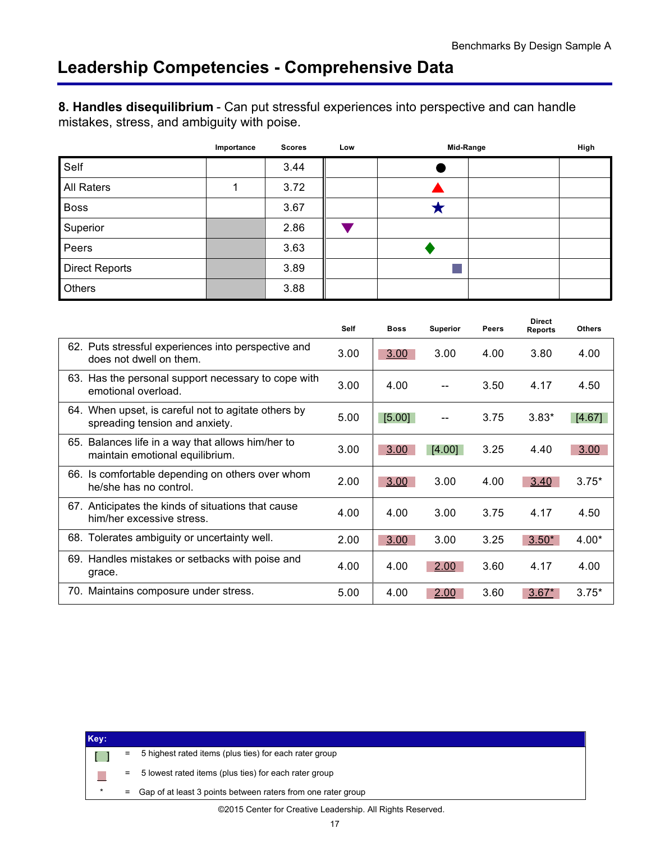<span id="page-18-0"></span>**8. Handles disequilibrium** - Can put stressful experiences into perspective and can handle mistakes, stress, and ambiguity with poise.

|                       | Importance | <b>Scores</b> | Low | Mid-Range | High |
|-----------------------|------------|---------------|-----|-----------|------|
| Self                  |            | 3.44          |     |           |      |
| All Raters            |            | 3.72          |     |           |      |
| <b>Boss</b>           |            | 3.67          |     |           |      |
| Superior              |            | 2.86          |     |           |      |
| Peers                 |            | 3.63          |     |           |      |
| <b>Direct Reports</b> |            | 3.89          |     |           |      |
| Others                |            | 3.88          |     |           |      |

|                                                                                       | <b>Self</b> | <b>Boss</b> | <b>Superior</b> | <b>Peers</b> | <b>Direct</b><br><b>Reports</b> | <b>Others</b> |
|---------------------------------------------------------------------------------------|-------------|-------------|-----------------|--------------|---------------------------------|---------------|
| 62. Puts stressful experiences into perspective and<br>does not dwell on them.        | 3.00        | 3.00        | 3.00            | 4.00         | 3.80                            | 4.00          |
| 63. Has the personal support necessary to cope with<br>emotional overload.            | 3.00        | 4.00        |                 | 3.50         | 4.17                            | 4.50          |
| 64. When upset, is careful not to agitate others by<br>spreading tension and anxiety. | 5.00        | [5.00]      |                 | 3.75         | $3.83*$                         | [4.67]        |
| 65. Balances life in a way that allows him/her to<br>maintain emotional equilibrium.  | 3.00        | 3.00        | [4.00]          | 3.25         | 4.40                            | 3.00          |
| 66. Is comfortable depending on others over whom<br>he/she has no control.            | 2.00        | 3.00        | 3.00            | 4.00         | 3.40                            | $3.75*$       |
| 67. Anticipates the kinds of situations that cause<br>him/her excessive stress.       | 4.00        | 4.00        | 3.00            | 3.75         | 4.17                            | 4.50          |
| 68. Tolerates ambiguity or uncertainty well.                                          | 2.00        | 3.00        | 3.00            | 3.25         | $3.50*$                         | $4.00*$       |
| 69. Handles mistakes or setbacks with poise and<br>grace.                             | 4.00        | 4.00        | 2.00            | 3.60         | 4.17                            | 4.00          |
| 70. Maintains composure under stress.                                                 | 5.00        | 4.00        | 2.00            | 3.60         | $3.67*$                         | $3.75*$       |

| Key:    |          |                                                              |
|---------|----------|--------------------------------------------------------------|
|         | Ξ        | 5 highest rated items (plus ties) for each rater group       |
|         | $=$      | 5 lowest rated items (plus ties) for each rater group        |
| $\star$ | $\equiv$ | Gap of at least 3 points between raters from one rater group |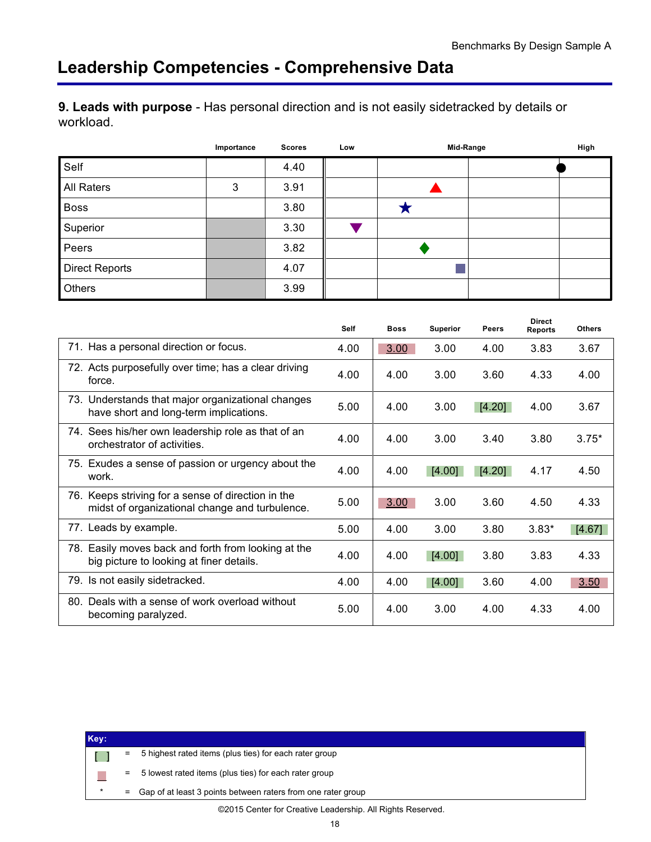<span id="page-19-0"></span>**9. Leads with purpose** - Has personal direction and is not easily sidetracked by details or workload.

|                       | Importance | <b>Scores</b> | Low | Mid-Range | High |
|-----------------------|------------|---------------|-----|-----------|------|
| Self                  |            | 4.40          |     |           |      |
| All Raters            | 3          | 3.91          |     |           |      |
| <b>Boss</b>           |            | 3.80          |     |           |      |
| Superior              |            | 3.30          |     |           |      |
| Peers                 |            | 3.82          |     |           |      |
| <b>Direct Reports</b> |            | 4.07          |     |           |      |
| Others                |            | 3.99          |     |           |      |

|                                                                                                      | <b>Self</b> | <b>Boss</b> | <b>Superior</b> | <b>Peers</b> | <b>Direct</b><br><b>Reports</b> | <b>Others</b> |
|------------------------------------------------------------------------------------------------------|-------------|-------------|-----------------|--------------|---------------------------------|---------------|
| 71. Has a personal direction or focus.                                                               | 4.00        | 3.00        | 3.00            | 4.00         | 3.83                            | 3.67          |
| 72. Acts purposefully over time; has a clear driving<br>force.                                       | 4.00        | 4.00        | 3.00            | 3.60         | 4.33                            | 4.00          |
| 73. Understands that major organizational changes<br>have short and long-term implications.          | 5.00        | 4.00        | 3.00            | [4.20]       | 4.00                            | 3.67          |
| 74. Sees his/her own leadership role as that of an<br>orchestrator of activities.                    | 4.00        | 4.00        | 3.00            | 3.40         | 3.80                            | $3.75*$       |
| 75. Exudes a sense of passion or urgency about the<br>work.                                          | 4.00        | 4.00        | [4.00]          | [4.20]       | 4.17                            | 4.50          |
| 76. Keeps striving for a sense of direction in the<br>midst of organizational change and turbulence. | 5.00        | 3.00        | 3.00            | 3.60         | 4.50                            | 4.33          |
| 77. Leads by example.                                                                                | 5.00        | 4.00        | 3.00            | 3.80         | $3.83*$                         | [4.67]        |
| 78. Easily moves back and forth from looking at the<br>big picture to looking at finer details.      | 4.00        | 4.00        | [4.00]          | 3.80         | 3.83                            | 4.33          |
| 79. Is not easily sidetracked.                                                                       | 4.00        | 4.00        | [4.00]          | 3.60         | 4.00                            | 3.50          |
| 80. Deals with a sense of work overload without<br>becoming paralyzed.                               | 5.00        | 4.00        | 3.00            | 4.00         | 4.33                            | 4.00          |

| Key: |     |                                                              |
|------|-----|--------------------------------------------------------------|
|      | =   | 5 highest rated items (plus ties) for each rater group       |
|      | $=$ | 5 lowest rated items (plus ties) for each rater group        |
|      | Ξ   | Gap of at least 3 points between raters from one rater group |
|      |     | ©2015 Center for Creative Leadership. All Rights Reserved.   |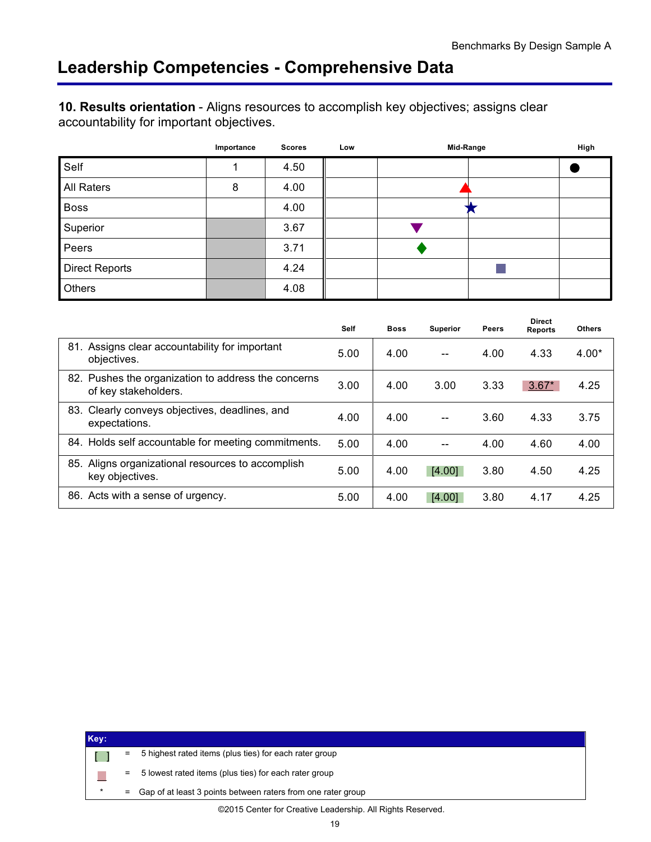<span id="page-20-0"></span>**10. Results orientation** - Aligns resources to accomplish key objectives; assigns clear accountability for important objectives.

|                       | Importance | <b>Scores</b> | Low | Mid-Range | High |
|-----------------------|------------|---------------|-----|-----------|------|
| Self                  |            | 4.50          |     |           |      |
| All Raters            | 8          | 4.00          |     |           |      |
| <b>Boss</b>           |            | 4.00          |     |           |      |
| Superior              |            | 3.67          |     |           |      |
| Peers                 |            | 3.71          |     |           |      |
| <b>Direct Reports</b> |            | 4.24          |     |           |      |
| Others                |            | 4.08          |     |           |      |

|                                                                             | <b>Self</b> | <b>Boss</b> | <b>Superior</b> | <b>Peers</b> | <b>Direct</b><br><b>Reports</b> | <b>Others</b> |
|-----------------------------------------------------------------------------|-------------|-------------|-----------------|--------------|---------------------------------|---------------|
| 81. Assigns clear accountability for important<br>objectives.               | 5.00        | 4.00        | $-$             | 4.00         | 4.33                            | $4.00*$       |
| 82. Pushes the organization to address the concerns<br>of key stakeholders. | 3.00        | 4.00        | 3.00            | 3.33         | $3.67*$                         | 4.25          |
| 83. Clearly conveys objectives, deadlines, and<br>expectations.             | 4.00        | 4.00        |                 | 3.60         | 4.33                            | 3.75          |
| 84. Holds self accountable for meeting commitments.                         | 5.00        | 4.00        |                 | 4.00         | 4.60                            | 4.00          |
| 85. Aligns organizational resources to accomplish<br>key objectives.        | 5.00        | 4.00        | [4.00]          | 3.80         | 4.50                            | 4.25          |
| 86. Acts with a sense of urgency.                                           | 5.00        | 4.00        | [4.00]          | 3.80         | 4.17                            | 4.25          |

| Key:    |     |                                                              |
|---------|-----|--------------------------------------------------------------|
|         | Ξ.  | 5 highest rated items (plus ties) for each rater group       |
|         | $=$ | 5 lowest rated items (plus ties) for each rater group        |
| $\star$ | $=$ | Gap of at least 3 points between raters from one rater group |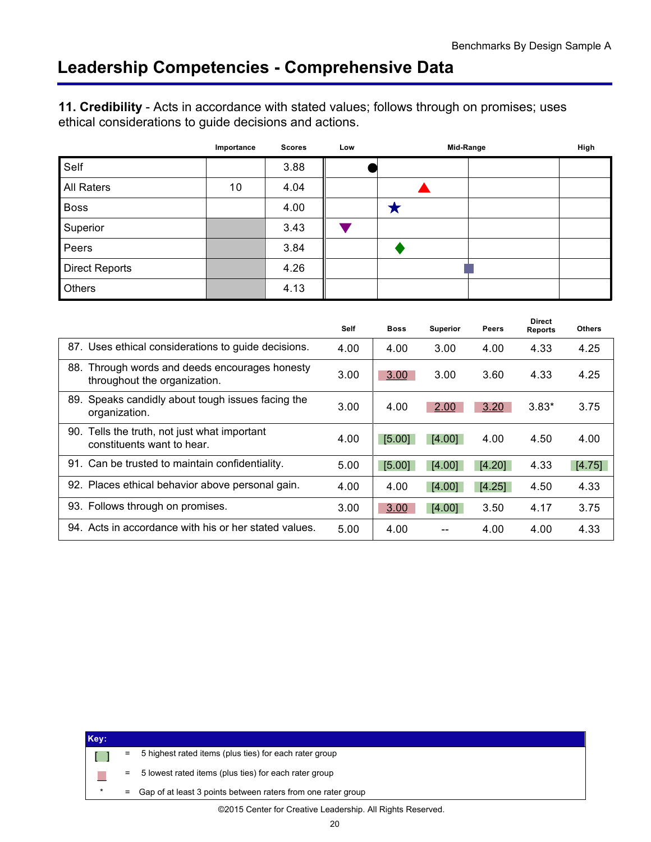<span id="page-21-0"></span>**11. Credibility** - Acts in accordance with stated values; follows through on promises; uses ethical considerations to guide decisions and actions.

|                       | Importance | <b>Scores</b> | Low | Mid-Range | High |
|-----------------------|------------|---------------|-----|-----------|------|
| Self                  |            | 3.88          |     |           |      |
| All Raters            | 10         | 4.04          |     |           |      |
| <b>Boss</b>           |            | 4.00          |     |           |      |
| Superior              |            | 3.43          |     |           |      |
| Peers                 |            | 3.84          |     |           |      |
| <b>Direct Reports</b> |            | 4.26          |     |           |      |
| Others                |            | 4.13          |     |           |      |

|                                                                                | Self | <b>Boss</b> | <b>Superior</b> | <b>Peers</b> | <b>Direct</b><br><b>Reports</b> | <b>Others</b> |
|--------------------------------------------------------------------------------|------|-------------|-----------------|--------------|---------------------------------|---------------|
| 87. Uses ethical considerations to guide decisions.                            | 4.00 | 4.00        | 3.00            | 4.00         | 4.33                            | 4.25          |
| 88. Through words and deeds encourages honesty<br>throughout the organization. | 3.00 | 3.00        | 3.00            | 3.60         | 4.33                            | 4.25          |
| Speaks candidly about tough issues facing the<br>89.<br>organization.          | 3.00 | 4.00        | 2.00            | 3.20         | $3.83*$                         | 3.75          |
| 90. Tells the truth, not just what important<br>constituents want to hear.     | 4.00 | [5.00]      | [4.00]          | 4.00         | 4.50                            | 4.00          |
| 91. Can be trusted to maintain confidentiality.                                | 5.00 | [5.00]      | [4.00]          | [4.20]       | 4.33                            | [4.75]        |
| 92. Places ethical behavior above personal gain.                               | 4.00 | 4.00        | [4.00]          | [4.25]       | 4.50                            | 4.33          |
| 93. Follows through on promises.                                               | 3.00 | 3.00        | [4.00]          | 3.50         | 4.17                            | 3.75          |
| 94. Acts in accordance with his or her stated values.                          | 5.00 | 4.00        |                 | 4.00         | 4.00                            | 4.33          |

| Key: |     |                                                              |
|------|-----|--------------------------------------------------------------|
|      | =   | 5 highest rated items (plus ties) for each rater group       |
|      | $=$ | 5 lowest rated items (plus ties) for each rater group        |
|      | $=$ | Gap of at least 3 points between raters from one rater group |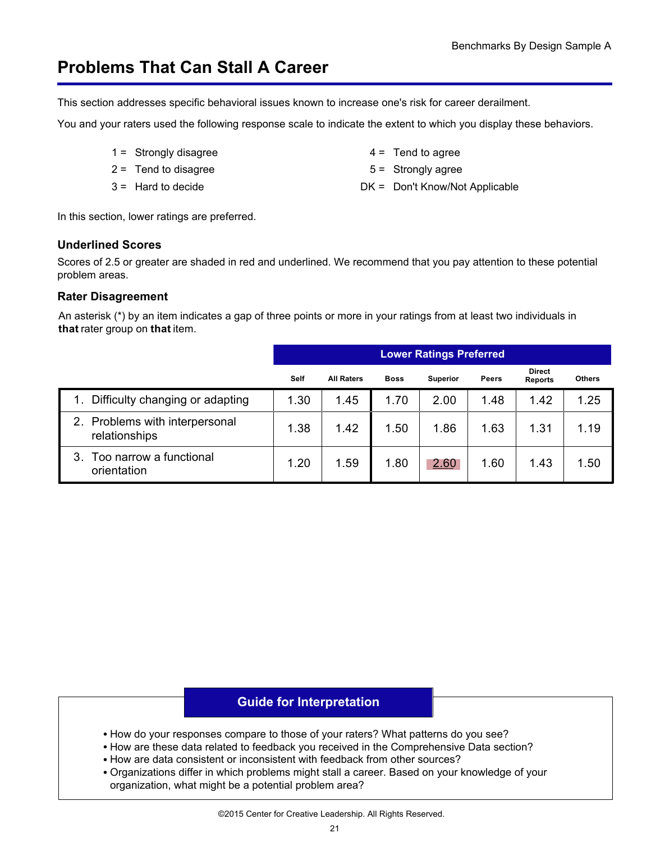<span id="page-22-0"></span>This section addresses specific behavioral issues known to increase one's risk for career derailment.

You and your raters used the following response scale to indicate the extent to which you display these behaviors.

- $1 =$  Strongly disagree  $4 =$  Tend to agree
- $2 =$ Tend to disagree  $5 =$ Strongly agree
- 
- 
- 
- 3 = Hard to decide **DK = Don't Know/Not Applicable**

In this section, lower ratings are preferred.

#### **Underlined Scores**

Scores of 2.5 or greater are shaded in red and underlined. We recommend that you pay attention to these potential problem areas.

#### **Rater Disagreement**

An asterisk (\*) by an item indicates a gap of three points or more in your ratings from at least two individuals in **that** rater group on **that** item.

|                                                 |      | <b>Lower Ratings Preferred</b> |             |                 |              |                                 |               |  |  |  |
|-------------------------------------------------|------|--------------------------------|-------------|-----------------|--------------|---------------------------------|---------------|--|--|--|
|                                                 | Self | <b>All Raters</b>              | <b>Boss</b> | <b>Superior</b> | <b>Peers</b> | <b>Direct</b><br><b>Reports</b> | <b>Others</b> |  |  |  |
| Difficulty changing or adapting                 | 1.30 | 1.45                           | 1.70        | 2.00            | 1.48         | 1.42                            | 1.25          |  |  |  |
| 2. Problems with interpersonal<br>relationships | 1.38 | 1.42                           | 1.50        | 1.86            | 1.63         | 1.31                            | 1.19          |  |  |  |
| Too narrow a functional<br>3.<br>orientation    | 1.20 | 1.59                           | 1.80        | 2.60            | 1.60         | 1.43                            | 1.50          |  |  |  |

### **Guide for Interpretation**

- How do your responses compare to those of your raters? What patterns do you see?
- How are these data related to feedback you received in the Comprehensive Data section?
- How are data consistent or inconsistent with feedback from other sources?
- Organizations differ in which problems might stall a career. Based on your knowledge of your organization, what might be a potential problem area?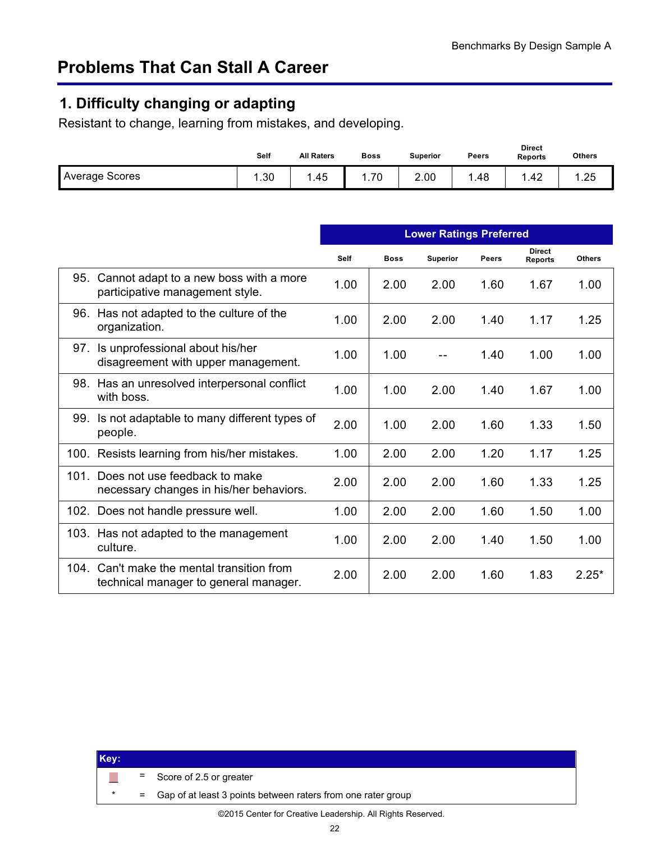# <span id="page-23-0"></span>**1. Difficulty changing or adapting**

Resistant to change, learning from mistakes, and developing.

|                       | Self | <b>All Raters</b> | <b>Boss</b> | <b>Superior</b> | Peers | <b>Direct</b><br><b>Reports</b> | <b>Others</b> |
|-----------------------|------|-------------------|-------------|-----------------|-------|---------------------------------|---------------|
| <b>Average Scores</b> | .30  | .45               | .70         | 2.00            | 48    | .42                             | .25           |

|     |                                                                                     |             |             | <b>Lower Ratings Preferred</b> |       |                                 |               |
|-----|-------------------------------------------------------------------------------------|-------------|-------------|--------------------------------|-------|---------------------------------|---------------|
|     |                                                                                     | <b>Self</b> | <b>Boss</b> | <b>Superior</b>                | Peers | <b>Direct</b><br><b>Reports</b> | <b>Others</b> |
| 95. | Cannot adapt to a new boss with a more<br>participative management style.           | 1.00        | 2.00        | 2.00                           | 1.60  | 1.67                            | 1.00          |
|     | 96. Has not adapted to the culture of the<br>organization.                          | 1.00        | 2.00        | 2.00                           | 1.40  | 1.17                            | 1.25          |
| 97. | Is unprofessional about his/her<br>disagreement with upper management.              | 1.00        | 1.00        |                                | 1.40  | 1.00                            | 1.00          |
|     | 98. Has an unresolved interpersonal conflict<br>with boss.                          | 1.00        | 1.00        | 2.00                           | 1.40  | 1.67                            | 1.00          |
|     | 99. Is not adaptable to many different types of<br>people.                          | 2.00        | 1.00        | 2.00                           | 1.60  | 1.33                            | 1.50          |
|     | 100. Resists learning from his/her mistakes.                                        | 1.00        | 2.00        | 2.00                           | 1.20  | 1.17                            | 1.25          |
|     | 101. Does not use feedback to make<br>necessary changes in his/her behaviors.       | 2.00        | 2.00        | 2.00                           | 1.60  | 1.33                            | 1.25          |
|     | 102. Does not handle pressure well.                                                 | 1.00        | 2.00        | 2.00                           | 1.60  | 1.50                            | 1.00          |
|     | 103. Has not adapted to the management<br>culture.                                  | 1.00        | 2.00        | 2.00                           | 1.40  | 1.50                            | 1.00          |
|     | 104. Can't make the mental transition from<br>technical manager to general manager. | 2.00        | 2.00        | 2.00                           | 1.60  | 1.83                            | $2.25*$       |

| Key: |  |                                                                |
|------|--|----------------------------------------------------------------|
|      |  | $=$ Score of 2.5 or greater                                    |
|      |  | = Gap of at least 3 points between raters from one rater group |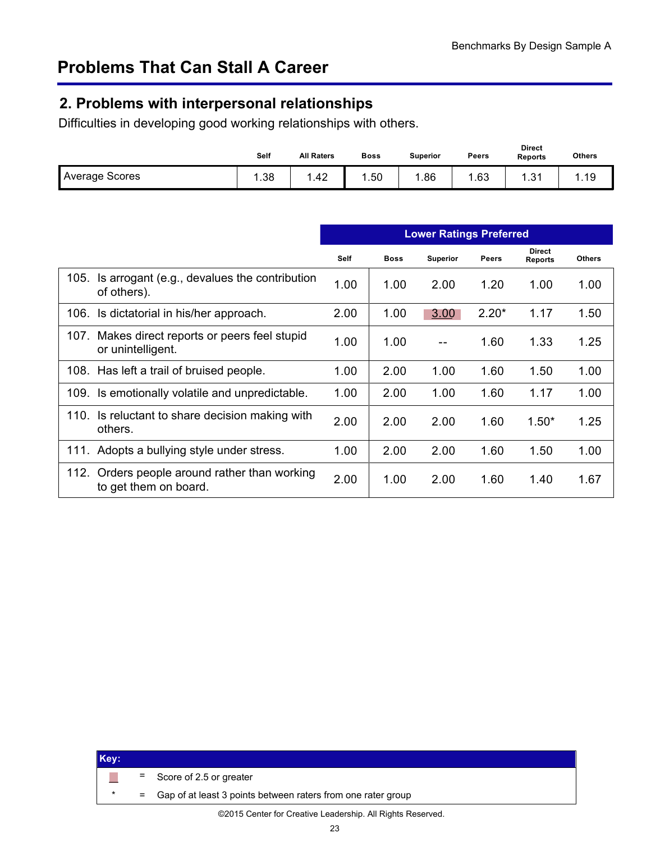## <span id="page-24-0"></span>**2. Problems with interpersonal relationships**

Difficulties in developing good working relationships with others.

|                       | Self | <b>All Raters</b> | <b>Boss</b> | <b>Superior</b> | Peers | <b>Direct</b><br><b>Reports</b> | <b>Others</b> |
|-----------------------|------|-------------------|-------------|-----------------|-------|---------------------------------|---------------|
| <b>Average Scores</b> | .38  | . .42             | .50         | .86             | .63   | -94<br>. ب                      | 1.19          |

|      |                                                                   |             |             | <b>Lower Ratings Preferred</b> |              |                                 |               |
|------|-------------------------------------------------------------------|-------------|-------------|--------------------------------|--------------|---------------------------------|---------------|
|      |                                                                   | <b>Self</b> | <b>Boss</b> | <b>Superior</b>                | <b>Peers</b> | <b>Direct</b><br><b>Reports</b> | <b>Others</b> |
| 105. | Is arrogant (e.g., devalues the contribution<br>of others).       | 1.00        | 1.00        | 2.00                           | 1.20         | 1.00                            | 1.00          |
| 106. | Is dictatorial in his/her approach.                               | 2.00        | 1.00        | 3.00                           | $2.20*$      | 1.17                            | 1.50          |
| 107. | Makes direct reports or peers feel stupid<br>or unintelligent.    | 1.00        | 1.00        |                                | 1.60         | 1.33                            | 1.25          |
|      | 108. Has left a trail of bruised people.                          | 1.00        | 2.00        | 1.00                           | 1.60         | 1.50                            | 1.00          |
|      | 109. Is emotionally volatile and unpredictable.                   | 1.00        | 2.00        | 1.00                           | 1.60         | 1.17                            | 1.00          |
| 110. | Is reluctant to share decision making with<br>others.             | 2.00        | 2.00        | 2.00                           | 1.60         | $1.50*$                         | 1.25          |
|      | 111. Adopts a bullying style under stress.                        | 1.00        | 2.00        | 2.00                           | 1.60         | 1.50                            | 1.00          |
| 112. | Orders people around rather than working<br>to get them on board. | 2.00        | 1.00        | 2.00                           | 1.60         | 1.40                            | 1.67          |

| Key:    |                                                                |
|---------|----------------------------------------------------------------|
|         | $=$ Score of 2.5 or greater                                    |
| $\star$ | = Gap of at least 3 points between raters from one rater group |
|         |                                                                |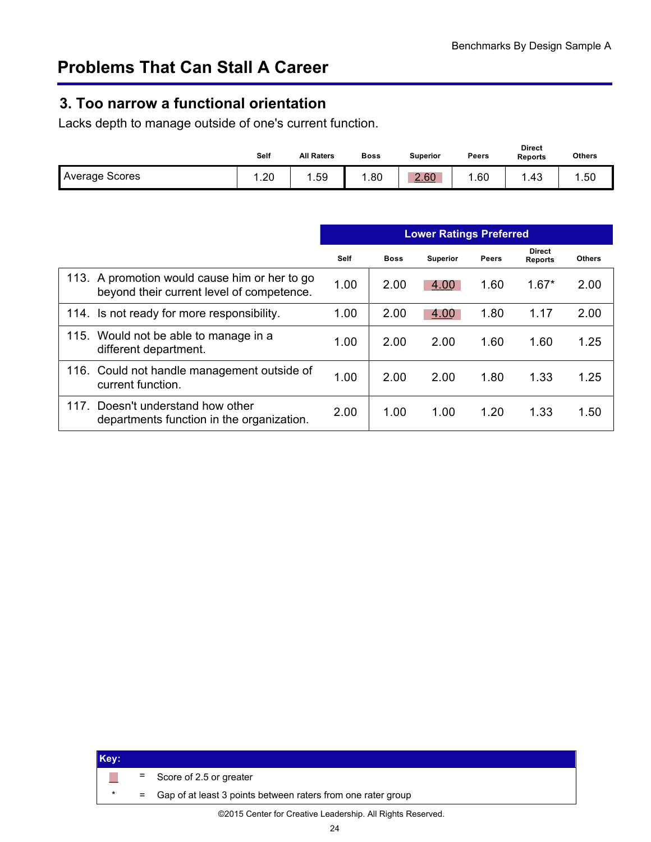### <span id="page-25-0"></span>**3. Too narrow a functional orientation**

Lacks depth to manage outside of one's current function.

|                       | Self | <b>All Raters</b> | <b>Boss</b> | Superior | Peers | <b>Direct</b><br><b>Reports</b> | <b>Others</b> |
|-----------------------|------|-------------------|-------------|----------|-------|---------------------------------|---------------|
| <b>Average Scores</b> | .20  | .59               | .80         | 2.60     | .60   | .43                             | .50           |

|                                                                                            | <b>Lower Ratings Preferred</b> |             |                 |       |                                 |               |
|--------------------------------------------------------------------------------------------|--------------------------------|-------------|-----------------|-------|---------------------------------|---------------|
|                                                                                            | <b>Self</b>                    | <b>Boss</b> | <b>Superior</b> | Peers | <b>Direct</b><br><b>Reports</b> | <b>Others</b> |
| 113. A promotion would cause him or her to go<br>beyond their current level of competence. | 1.00                           | 2.00        | 4.00            | 1.60  | $1.67*$                         | 2.00          |
| 114. Is not ready for more responsibility.                                                 | 1.00                           | 2.00        | 4.00            | 1.80  | 1.17                            | 2.00          |
| 115. Would not be able to manage in a<br>different department.                             | 1.00                           | 2.00        | 2.00            | 1.60  | 1.60                            | 1.25          |
| 116. Could not handle management outside of<br>current function.                           | 1.00                           | 2.00        | 2.00            | 1.80  | 1.33                            | 1.25          |
| Doesn't understand how other<br>117.<br>departments function in the organization.          | 2.00                           | 1.00        | 1.00            | 1.20  | 1.33                            | 1.50          |

| Key: |                                                                |
|------|----------------------------------------------------------------|
|      | $=$ Score of 2.5 or greater                                    |
|      | = Gap of at least 3 points between raters from one rater group |
|      |                                                                |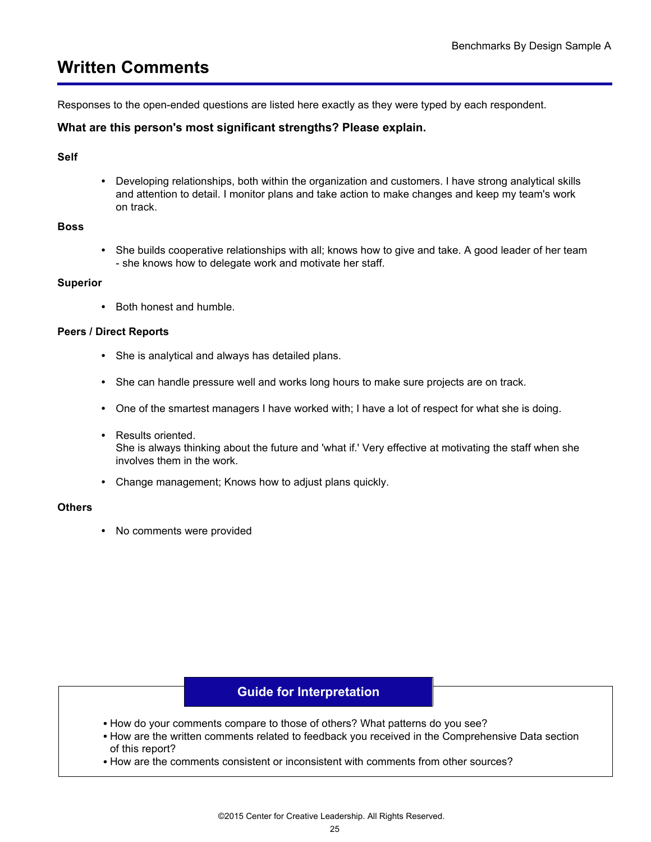# <span id="page-26-0"></span>**Written Comments**

Responses to the open-ended questions are listed here exactly as they were typed by each respondent.

#### **What are this person's most significant strengths? Please explain.**

#### **Self**

**•** Developing relationships, both within the organization and customers. I have strong analytical skills and attention to detail. I monitor plans and take action to make changes and keep my team's work on track.

#### **Boss**

**•** She builds cooperative relationships with all; knows how to give and take. A good leader of her team - she knows how to delegate work and motivate her staff.

#### **Superior**

**•** Both honest and humble.

#### **Peers / Direct Reports**

- **•** She is analytical and always has detailed plans.
- **•** She can handle pressure well and works long hours to make sure projects are on track.
- **•** One of the smartest managers I have worked with; I have a lot of respect for what she is doing.
- **•** Results oriented. She is always thinking about the future and 'what if.' Very effective at motivating the staff when she involves them in the work.
- **•** Change management; Knows how to adjust plans quickly.

#### **Others**

**•** No comments were provided

#### **Guide for Interpretation**

- How do your comments compare to those of others? What patterns do you see?
- How are the written comments related to feedback you received in the Comprehensive Data section of this report?
- How are the comments consistent or inconsistent with comments from other sources?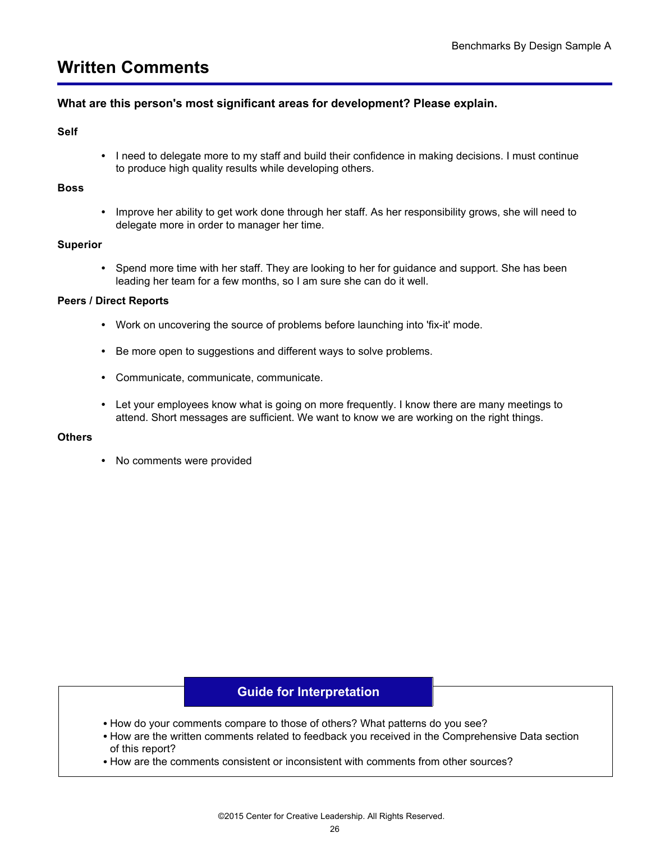## **Written Comments**

#### **What are this person's most significant areas for development? Please explain.**

#### **Self**

**•** I need to delegate more to my staff and build their confidence in making decisions. I must continue to produce high quality results while developing others.

#### **Boss**

**•** Improve her ability to get work done through her staff. As her responsibility grows, she will need to delegate more in order to manager her time.

#### **Superior**

**•** Spend more time with her staff. They are looking to her for guidance and support. She has been leading her team for a few months, so I am sure she can do it well.

#### **Peers / Direct Reports**

- **•** Work on uncovering the source of problems before launching into 'fix-it' mode.
- **•** Be more open to suggestions and different ways to solve problems.
- **•** Communicate, communicate, communicate.
- **•** Let your employees know what is going on more frequently. I know there are many meetings to attend. Short messages are sufficient. We want to know we are working on the right things.

#### **Others**

**•** No comments were provided

#### **Guide for Interpretation**

- How do your comments compare to those of others? What patterns do you see?
- How are the written comments related to feedback you received in the Comprehensive Data section of this report?
- How are the comments consistent or inconsistent with comments from other sources?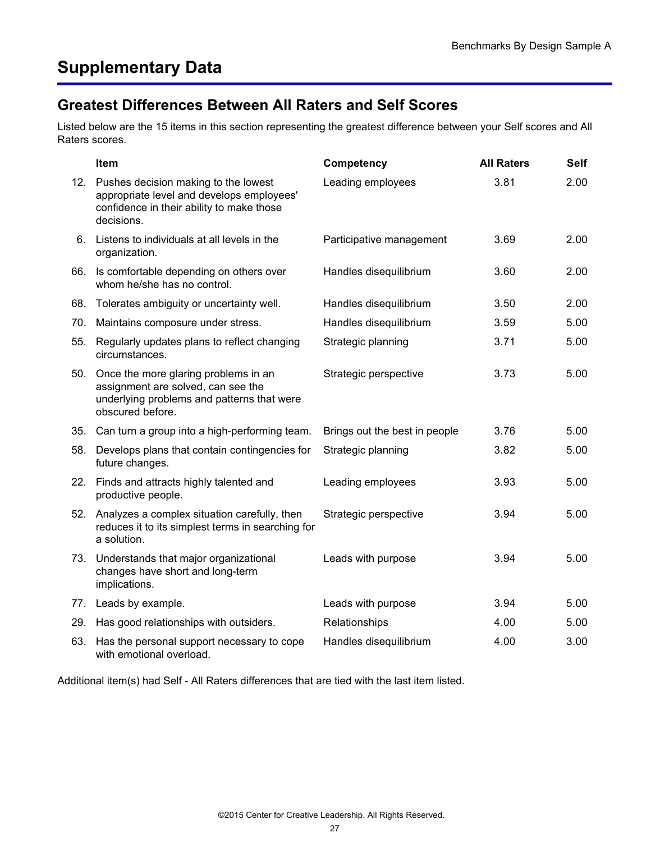### <span id="page-28-0"></span>Greatest Differences Between All Raters and Self Scores **Greatest Differences Between All Raters and Self Scores**

Listed below are the 15 items in this section representing the greatest difference between your Self scores and All Raters scores.

|     | Item                                                                                                                                             | Competency                    | <b>All Raters</b> | <b>Self</b> |
|-----|--------------------------------------------------------------------------------------------------------------------------------------------------|-------------------------------|-------------------|-------------|
| 12. | Pushes decision making to the lowest<br>appropriate level and develops employees'<br>confidence in their ability to make those<br>decisions.     | Leading employees             | 3.81              | 2.00        |
| 6.  | Listens to individuals at all levels in the<br>organization.                                                                                     | Participative management      | 3.69              | 2.00        |
| 66. | Is comfortable depending on others over<br>whom he/she has no control.                                                                           | Handles disequilibrium        | 3.60              | 2.00        |
| 68. | Tolerates ambiguity or uncertainty well.                                                                                                         | Handles disequilibrium        | 3.50              | 2.00        |
| 70. | Maintains composure under stress.                                                                                                                | Handles disequilibrium        | 3.59              | 5.00        |
| 55. | Regularly updates plans to reflect changing<br>circumstances.                                                                                    | Strategic planning            | 3.71              | 5.00        |
|     | 50. Once the more glaring problems in an<br>assignment are solved, can see the<br>underlying problems and patterns that were<br>obscured before. | Strategic perspective         | 3.73              | 5.00        |
|     | 35. Can turn a group into a high-performing team.                                                                                                | Brings out the best in people | 3.76              | 5.00        |
| 58. | Develops plans that contain contingencies for<br>future changes.                                                                                 | Strategic planning            | 3.82              | 5.00        |
| 22. | Finds and attracts highly talented and<br>productive people.                                                                                     | Leading employees             | 3.93              | 5.00        |
|     | 52. Analyzes a complex situation carefully, then<br>reduces it to its simplest terms in searching for<br>a solution.                             | Strategic perspective         | 3.94              | 5.00        |
| 73. | Understands that major organizational<br>changes have short and long-term<br>implications.                                                       | Leads with purpose            | 3.94              | 5.00        |
| 77. | Leads by example.                                                                                                                                | Leads with purpose            | 3.94              | 5.00        |
| 29. | Has good relationships with outsiders.                                                                                                           | Relationships                 | 4.00              | 5.00        |
| 63. | Has the personal support necessary to cope<br>with emotional overload.                                                                           | Handles disequilibrium        | 4.00              | 3.00        |

Additional item(s) had Self - All Raters differences that are tied with the last item listed.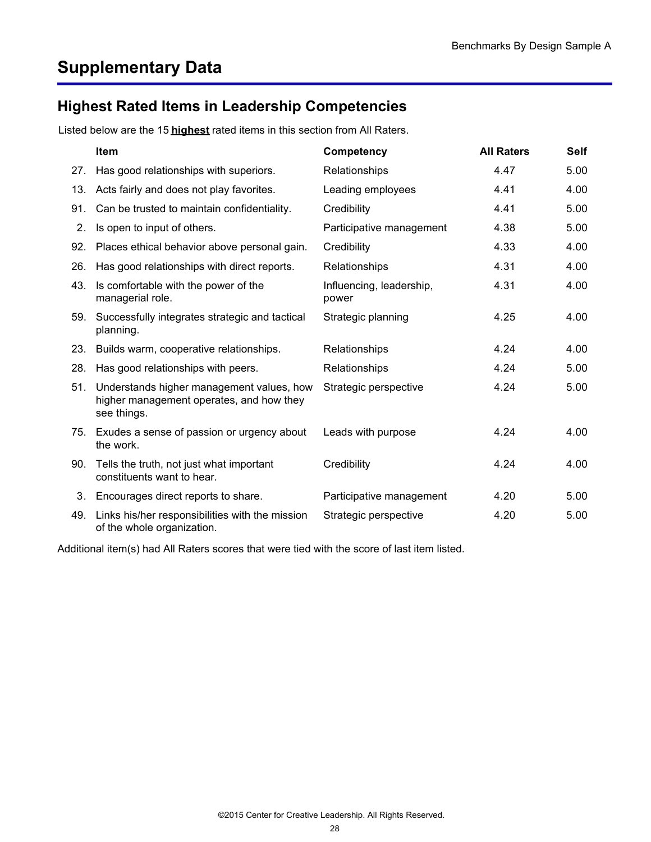# <span id="page-29-0"></span>**Supplementary Data**

## **Highest Rated Items in Leadership Competencies**

Listed below are the 15 **highest** rated items in this section from All Raters.

|     | <b>Item</b>                                                                                          | Competency                        | <b>All Raters</b> | <b>Self</b> |
|-----|------------------------------------------------------------------------------------------------------|-----------------------------------|-------------------|-------------|
| 27. | Has good relationships with superiors.                                                               | Relationships                     | 4.47              | 5.00        |
| 13. | Acts fairly and does not play favorites.                                                             | Leading employees                 | 4.41              | 4.00        |
| 91. | Can be trusted to maintain confidentiality.                                                          | Credibility                       | 4.41              | 5.00        |
| 2.  | Is open to input of others.                                                                          | Participative management          | 4.38              | 5.00        |
| 92. | Places ethical behavior above personal gain.                                                         | Credibility                       | 4.33              | 4.00        |
| 26. | Has good relationships with direct reports.                                                          | Relationships                     | 4.31              | 4.00        |
| 43. | Is comfortable with the power of the<br>managerial role.                                             | Influencing, leadership,<br>power | 4.31              | 4.00        |
| 59. | Successfully integrates strategic and tactical<br>planning.                                          | Strategic planning                | 4.25              | 4.00        |
| 23. | Builds warm, cooperative relationships.                                                              | Relationships                     | 4.24              | 4.00        |
| 28. | Has good relationships with peers.                                                                   | Relationships                     | 4.24              | 5.00        |
| 51. | Understands higher management values, how<br>higher management operates, and how they<br>see things. | Strategic perspective             | 4.24              | 5.00        |
|     | 75. Exudes a sense of passion or urgency about<br>the work.                                          | Leads with purpose                | 4.24              | 4.00        |
| 90. | Tells the truth, not just what important<br>constituents want to hear.                               | Credibility                       | 4.24              | 4.00        |
| 3.  | Encourages direct reports to share.                                                                  | Participative management          | 4.20              | 5.00        |
| 49. | Links his/her responsibilities with the mission<br>of the whole organization.                        | Strategic perspective             | 4.20              | 5.00        |

Additional item(s) had All Raters scores that were tied with the score of last item listed.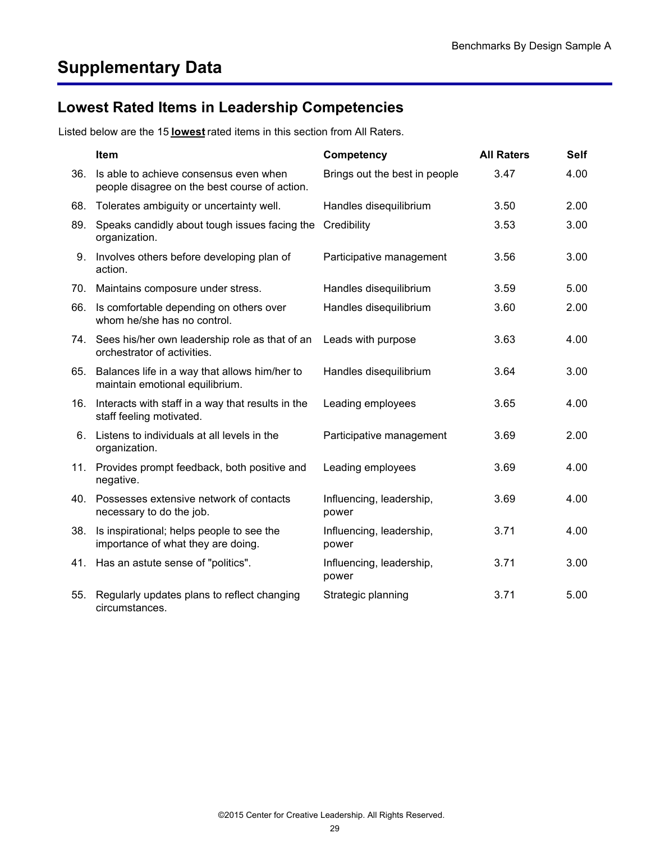## <span id="page-30-0"></span>**Lowest Rated Items in Leadership Competencies**

Listed below are the 15 **lowest** rated items in this section from All Raters.

|     | Item                                                                                    | Competency                        | <b>All Raters</b> | <b>Self</b> |
|-----|-----------------------------------------------------------------------------------------|-----------------------------------|-------------------|-------------|
| 36. | Is able to achieve consensus even when<br>people disagree on the best course of action. | Brings out the best in people     | 3.47              | 4.00        |
| 68. | Tolerates ambiguity or uncertainty well.                                                | Handles disequilibrium            | 3.50              | 2.00        |
| 89. | Speaks candidly about tough issues facing the<br>organization.                          | Credibility                       | 3.53              | 3.00        |
| 9.  | Involves others before developing plan of<br>action.                                    | Participative management          | 3.56              | 3.00        |
| 70. | Maintains composure under stress.                                                       | Handles disequilibrium            | 3.59              | 5.00        |
| 66. | Is comfortable depending on others over<br>whom he/she has no control.                  | Handles disequilibrium            | 3.60              | 2.00        |
|     | 74. Sees his/her own leadership role as that of an<br>orchestrator of activities.       | Leads with purpose                | 3.63              | 4.00        |
|     | 65. Balances life in a way that allows him/her to<br>maintain emotional equilibrium.    | Handles disequilibrium            | 3.64              | 3.00        |
| 16. | Interacts with staff in a way that results in the<br>staff feeling motivated.           | Leading employees                 | 3.65              | 4.00        |
|     | 6. Listens to individuals at all levels in the<br>organization.                         | Participative management          | 3.69              | 2.00        |
| 11. | Provides prompt feedback, both positive and<br>negative.                                | Leading employees                 | 3.69              | 4.00        |
| 40. | Possesses extensive network of contacts<br>necessary to do the job.                     | Influencing, leadership,<br>power | 3.69              | 4.00        |
| 38. | Is inspirational; helps people to see the<br>importance of what they are doing.         | Influencing, leadership,<br>power | 3.71              | 4.00        |
|     | 41. Has an astute sense of "politics".                                                  | Influencing, leadership,<br>power | 3.71              | 3.00        |
| 55. | Regularly updates plans to reflect changing<br>circumstances.                           | Strategic planning                | 3.71              | 5.00        |